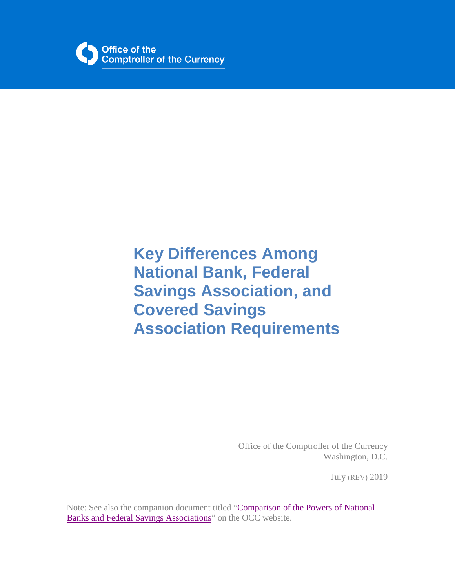

# **Key Differences Among National Bank, Federal Savings Association, and Covered Savings Association Requirements**

Office of the Comptroller of the Currency Washington, D.C.

July (REV) 2019

Note: See also the companion document titled ["Comparison of the Powers of National](https://occ.gov/publications/publications-by-type/other-publications-reports/pub-comparison-powers-national-banks-fed-sav-assoc.pdf)  [Banks and Federal Savings Associations"](https://occ.gov/publications/publications-by-type/other-publications-reports/pub-comparison-powers-national-banks-fed-sav-assoc.pdf) on the OCC website.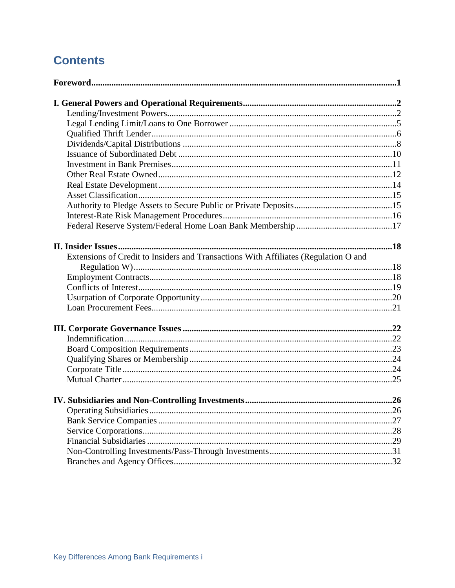## **Contents**

| Extensions of Credit to Insiders and Transactions With Affiliates (Regulation O and |  |
|-------------------------------------------------------------------------------------|--|
|                                                                                     |  |
|                                                                                     |  |
|                                                                                     |  |
|                                                                                     |  |
|                                                                                     |  |
|                                                                                     |  |
|                                                                                     |  |
|                                                                                     |  |
|                                                                                     |  |
|                                                                                     |  |
|                                                                                     |  |
|                                                                                     |  |
|                                                                                     |  |
|                                                                                     |  |
|                                                                                     |  |
|                                                                                     |  |
|                                                                                     |  |
|                                                                                     |  |
|                                                                                     |  |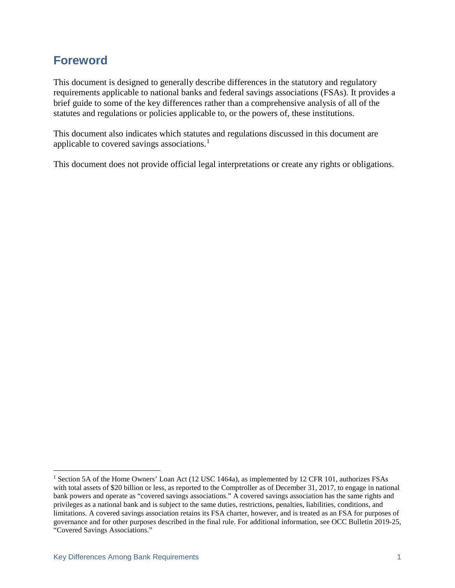## <span id="page-2-0"></span>**Foreword**

This document is designed to generally describe differences in the statutory and regulatory requirements applicable to national banks and federal savings associations (FSAs). It provides a brief guide to some of the key differences rather than a comprehensive analysis of all of the statutes and regulations or policies applicable to, or the powers of, these institutions.

This document also indicates which statutes and regulations discussed in this document are applicable to covered savings associations.<sup>[1](#page-2-1)</sup>

This document does not provide official legal interpretations or create any rights or obligations.

<span id="page-2-1"></span> <sup>1</sup> Section 5A of the Home Owners' Loan Act (12 USC 1464a), as implemented by 12 CFR 101, authorizes FSAs with total assets of \$20 billion or less, as reported to the Comptroller as of December 31, 2017, to engage in national bank powers and operate as "covered savings associations." A covered savings association has the same rights and privileges as a national bank and is subject to the same duties, restrictions, penalties, liabilities, conditions, and limitations. A covered savings association retains its FSA charter, however, and is treated as an FSA for purposes of governance and for other purposes described in the final rule. For additional information, see OCC Bulletin 2019-25, "Covered Savings Associations."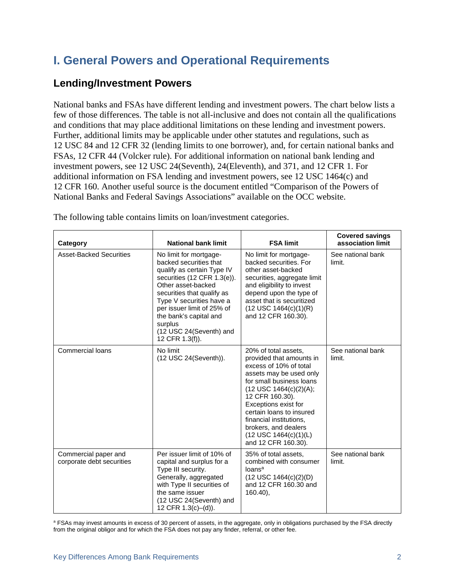## <span id="page-3-0"></span>**I. General Powers and Operational Requirements**

### <span id="page-3-1"></span>**Lending/Investment Powers**

National banks and FSAs have different lending and investment powers. The chart below lists a few of those differences. The table is not all-inclusive and does not contain all the qualifications and conditions that may place additional limitations on these lending and investment powers. Further, additional limits may be applicable under other statutes and regulations, such as 12 USC 84 and 12 CFR 32 (lending limits to one borrower), and, for certain national banks and FSAs, 12 CFR 44 (Volcker rule). For additional information on national bank lending and investment powers, see 12 USC 24(Seventh), 24(Eleventh), and 371, and 12 CFR 1. For additional information on FSA lending and investment powers, see 12 USC 1464(c) and 12 CFR 160. Another useful source is the document entitled "Comparison of the Powers of National Banks and Federal Savings Associations" available on the OCC website.

| <b>Category</b>                                   | <b>National bank limit</b>                                                                                                                                                                                                                                                                                          | <b>FSA limit</b>                                                                                                                                                                                                                                                                                                                              | <b>Covered savings</b><br>association limit |
|---------------------------------------------------|---------------------------------------------------------------------------------------------------------------------------------------------------------------------------------------------------------------------------------------------------------------------------------------------------------------------|-----------------------------------------------------------------------------------------------------------------------------------------------------------------------------------------------------------------------------------------------------------------------------------------------------------------------------------------------|---------------------------------------------|
| <b>Asset-Backed Securities</b>                    | No limit for mortgage-<br>backed securities that<br>qualify as certain Type IV<br>securities $(12$ CFR $1.3(e)$ ).<br>Other asset-backed<br>securities that qualify as<br>Type V securities have a<br>per issuer limit of 25% of<br>the bank's capital and<br>surplus<br>(12 USC 24(Seventh) and<br>12 CFR 1.3(f)). | No limit for mortgage-<br>backed securities. For<br>other asset-backed<br>securities, aggregate limit<br>and eligibility to invest<br>depend upon the type of<br>asset that is securitized<br>$(12$ USC $1464(c)(1)(R)$<br>and 12 CFR 160.30).                                                                                                | See national bank<br>limit.                 |
| <b>Commercial loans</b>                           | No limit<br>(12 USC 24(Seventh)).                                                                                                                                                                                                                                                                                   | 20% of total assets.<br>provided that amounts in<br>excess of 10% of total<br>assets may be used only<br>for small business loans<br>$(12$ USC $1464(c)(2)(A);$<br>12 CFR 160.30).<br>Exceptions exist for<br>certain loans to insured<br>financial institutions,<br>brokers, and dealers<br>$(12$ USC $1464(c)(1)(L)$<br>and 12 CFR 160.30). | See national bank<br>limit.                 |
| Commercial paper and<br>corporate debt securities | Per issuer limit of 10% of<br>capital and surplus for a<br>Type III security.<br>Generally, aggregated<br>with Type II securities of<br>the same issuer<br>(12 USC 24(Seventh) and<br>12 CFR 1.3(c)-(d)).                                                                                                           | 35% of total assets.<br>combined with consumer<br>loans <sup>a</sup><br>$(12$ USC $1464(c)(2)(D)$<br>and 12 CFR 160.30 and<br>$160.40$ ,                                                                                                                                                                                                      | See national bank<br>limit.                 |

The following table contains limits on loan/investment categories.

a FSAs may invest amounts in excess of 30 percent of assets, in the aggregate, only in obligations purchased by the FSA directly from the original obligor and for which the FSA does not pay any finder, referral, or other fee.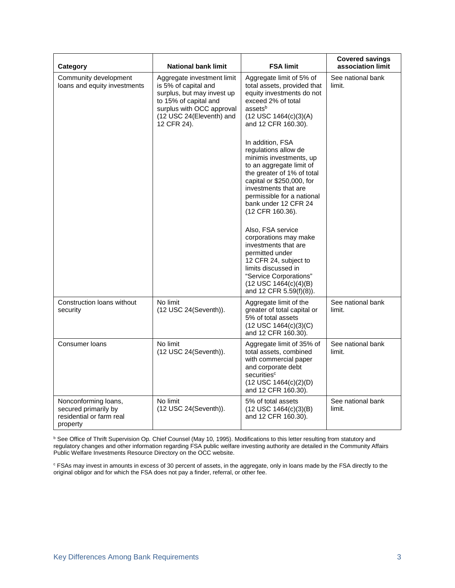| Category                                                                             | <b>National bank limit</b>                                                                                                                                                        | <b>FSA limit</b>                                                                                                                                                                                                                                             | <b>Covered savings</b><br>association limit |
|--------------------------------------------------------------------------------------|-----------------------------------------------------------------------------------------------------------------------------------------------------------------------------------|--------------------------------------------------------------------------------------------------------------------------------------------------------------------------------------------------------------------------------------------------------------|---------------------------------------------|
| Community development<br>loans and equity investments                                | Aggregate investment limit<br>is 5% of capital and<br>surplus, but may invest up<br>to 15% of capital and<br>surplus with OCC approval<br>(12 USC 24(Eleventh) and<br>12 CFR 24). | Aggregate limit of 5% of<br>total assets, provided that<br>equity investments do not<br>exceed 2% of total<br>assetsb<br>$(12$ USC $1464(c)(3)(A)$<br>and 12 CFR 160.30).                                                                                    | See national bank<br>limit.                 |
|                                                                                      |                                                                                                                                                                                   | In addition, FSA<br>regulations allow de<br>minimis investments, up<br>to an aggregate limit of<br>the greater of 1% of total<br>capital or \$250,000, for<br>investments that are<br>permissible for a national<br>bank under 12 CFR 24<br>(12 CFR 160.36). |                                             |
|                                                                                      |                                                                                                                                                                                   | Also, FSA service<br>corporations may make<br>investments that are<br>permitted under<br>12 CFR 24, subject to<br>limits discussed in<br>"Service Corporations"<br>$(12$ USC $1464(c)(4)(B)$<br>and 12 CFR $5.59(f)(8)$ ).                                   |                                             |
| Construction loans without<br>security                                               | No limit<br>(12 USC 24(Seventh)).                                                                                                                                                 | Aggregate limit of the<br>greater of total capital or<br>5% of total assets<br>$(12$ USC $1464(c)(3)(C)$<br>and 12 CFR 160.30).                                                                                                                              | See national bank<br>limit.                 |
| Consumer loans                                                                       | No limit<br>(12 USC 24(Seventh)).                                                                                                                                                 | Aggregate limit of 35% of<br>total assets, combined<br>with commercial paper<br>and corporate debt<br>securities <sup>c</sup><br>$(12$ USC $1464(c)(2)(D)$<br>and 12 CFR 160.30).                                                                            | See national bank<br>limit.                 |
| Nonconforming loans,<br>secured primarily by<br>residential or farm real<br>property | No limit<br>(12 USC 24(Seventh)).                                                                                                                                                 | 5% of total assets<br>$(12$ USC $1464(c)(3)(B)$<br>and 12 CFR 160.30).                                                                                                                                                                                       | See national bank<br>limit.                 |

b See Office of Thrift Supervision Op. Chief Counsel (May 10, 1995). Modifications to this letter resulting from statutory and regulatory changes and other information regarding FSA public welfare investing authority are detailed in the Community Affairs Public Welfare Investments Resource Directory on the OCC website.

<sup>c</sup> FSAs may invest in amounts in excess of 30 percent of assets, in the aggregate, only in loans made by the FSA directly to the original obligor and for which the FSA does not pay a finder, referral, or other fee.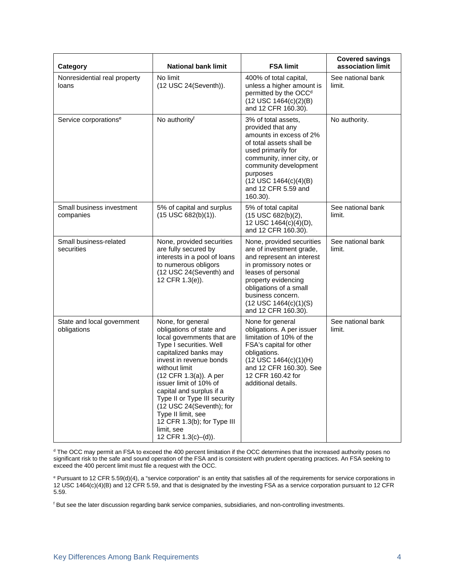| <b>Category</b>                           | <b>National bank limit</b>                                                                                                                                                                                                                                                                                                                                                                                        | <b>FSA limit</b>                                                                                                                                                                                                                                             | <b>Covered savings</b><br>association limit |
|-------------------------------------------|-------------------------------------------------------------------------------------------------------------------------------------------------------------------------------------------------------------------------------------------------------------------------------------------------------------------------------------------------------------------------------------------------------------------|--------------------------------------------------------------------------------------------------------------------------------------------------------------------------------------------------------------------------------------------------------------|---------------------------------------------|
| Nonresidential real property<br>loans     | No limit<br>(12 USC 24(Seventh)).                                                                                                                                                                                                                                                                                                                                                                                 | 400% of total capital,<br>unless a higher amount is<br>permitted by the OCC <sup>d</sup><br>$(12$ USC $1464(c)(2)(B)$<br>and 12 CFR 160.30).                                                                                                                 | See national bank<br>limit.                 |
| Service corporations <sup>e</sup>         | No authority <sup>f</sup>                                                                                                                                                                                                                                                                                                                                                                                         | 3% of total assets,<br>provided that any<br>amounts in excess of 2%<br>of total assets shall be<br>used primarily for<br>community, inner city, or<br>community development<br>purposes<br>$(12$ USC $1464(c)(4)(B)$<br>and 12 CFR 5.59 and<br>160.30).      | No authority.                               |
| Small business investment<br>companies    | 5% of capital and surplus<br>$(15$ USC $682(b)(1))$ .                                                                                                                                                                                                                                                                                                                                                             | 5% of total capital<br>(15 USC 682(b)(2),<br>12 USC 1464(c)(4)(D),<br>and 12 CFR 160.30).                                                                                                                                                                    | See national bank<br>limit.                 |
| Small business-related<br>securities      | None, provided securities<br>are fully secured by<br>interests in a pool of loans<br>to numerous obligors<br>(12 USC 24(Seventh) and<br>12 CFR 1.3(e)).                                                                                                                                                                                                                                                           | None, provided securities<br>are of investment grade,<br>and represent an interest<br>in promissory notes or<br>leases of personal<br>property evidencing<br>obligations of a small<br>business concern.<br>$(12$ USC $1464(c)(1)(S)$<br>and 12 CFR 160.30). | See national bank<br>limit.                 |
| State and local government<br>obligations | None, for general<br>obligations of state and<br>local governments that are<br>Type I securities. Well<br>capitalized banks may<br>invest in revenue bonds<br>without limit<br>(12 CFR 1.3(a)). A per<br>issuer limit of 10% of<br>capital and surplus if a<br>Type II or Type III security<br>(12 USC 24(Seventh); for<br>Type II limit, see<br>12 CFR 1.3(b); for Type III<br>limit, see<br>12 CFR 1.3(c)-(d)). | None for general<br>obligations. A per issuer<br>limitation of 10% of the<br>FSA's capital for other<br>obligations.<br>$(12$ USC $1464(c)(1)(H)$<br>and 12 CFR 160.30). See<br>12 CFR 160.42 for<br>additional details.                                     | See national bank<br>limit.                 |

<sup>d</sup> The OCC may permit an FSA to exceed the 400 percent limitation if the OCC determines that the increased authority poses no significant risk to the safe and sound operation of the FSA and is consistent with prudent operating practices. An FSA seeking to exceed the 400 percent limit must file a request with the OCC.

e Pursuant to 12 CFR 5.59(d)(4), a "service corporation" is an entity that satisfies all of the requirements for service corporations in 12 USC 1464(c)(4)(B) and 12 CFR 5.59, and that is designated by the investing FSA as a service corporation pursuant to 12 CFR 5.59.

<sup>f</sup> But see the later discussion regarding bank service companies, subsidiaries, and non-controlling investments.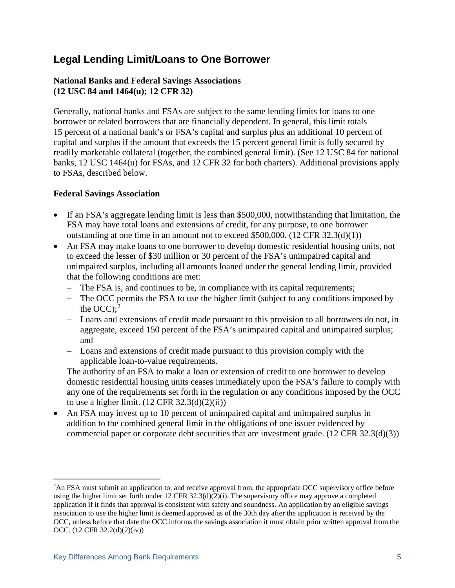### <span id="page-6-0"></span>**Legal Lending Limit/Loans to One Borrower**

#### **National Banks and Federal Savings Associations (12 USC 84 and 1464(u); 12 CFR 32)**

Generally, national banks and FSAs are subject to the same lending limits for loans to one borrower or related borrowers that are financially dependent. In general, this limit totals 15 percent of a national bank's or FSA's capital and surplus plus an additional 10 percent of capital and surplus if the amount that exceeds the 15 percent general limit is fully secured by readily marketable collateral (together, the combined general limit). (See 12 USC 84 for national banks, 12 USC 1464(u) for FSAs, and 12 CFR 32 for both charters). Additional provisions apply to FSAs, described below.

#### **Federal Savings Association**

- If an FSA's aggregate lending limit is less than \$500,000, notwithstanding that limitation, the FSA may have total loans and extensions of credit, for any purpose, to one borrower outstanding at one time in an amount not to exceed \$500,000. (12 CFR 32.3(d)(1))
- An FSA may make loans to one borrower to develop domestic residential housing units, not to exceed the lesser of \$30 million or 30 percent of the FSA's unimpaired capital and unimpaired surplus, including all amounts loaned under the general lending limit, provided that the following conditions are met:
	- − The FSA is, and continues to be, in compliance with its capital requirements;
	- − The OCC permits the FSA to use the higher limit (subject to any conditions imposed by the OCC); $2$
	- − Loans and extensions of credit made pursuant to this provision to all borrowers do not, in aggregate, exceed 150 percent of the FSA's unimpaired capital and unimpaired surplus; and
	- − Loans and extensions of credit made pursuant to this provision comply with the applicable loan-to-value requirements.

The authority of an FSA to make a loan or extension of credit to one borrower to develop domestic residential housing units ceases immediately upon the FSA's failure to comply with any one of the requirements set forth in the regulation or any conditions imposed by the OCC to use a higher limit.  $(12 \text{ CFR } 32.3\text{ (d)}(2)\text{ (ii)})$ 

• An FSA may invest up to 10 percent of unimpaired capital and unimpaired surplus in addition to the combined general limit in the obligations of one issuer evidenced by commercial paper or corporate debt securities that are investment grade. (12 CFR 32.3(d)(3))

<span id="page-6-1"></span> $\frac{1}{2}$ <sup>2</sup>An FSA must submit an application to, and receive approval from, the appropriate OCC supervisory office before using the higher limit set forth under  $12$  CFR  $32.3(d)(2)(i)$ . The supervisory office may approve a completed application if it finds that approval is consistent with safety and soundness. An application by an eligible savings association to use the higher limit is deemed approved as of the 30th day after the application is received by the OCC, unless before that date the OCC informs the savings association it must obtain prior written approval from the OCC. (12 CFR 32.2(d)(2)(iv))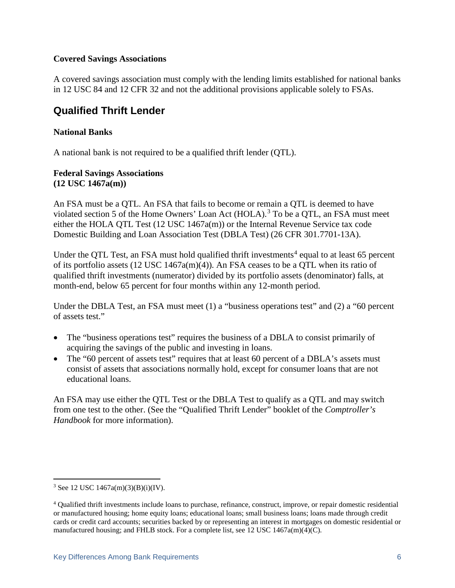#### **Covered Savings Associations**

A covered savings association must comply with the lending limits established for national banks in 12 USC 84 and 12 CFR 32 and not the additional provisions applicable solely to FSAs.

### <span id="page-7-0"></span>**Qualified Thrift Lender**

#### **National Banks**

A national bank is not required to be a qualified thrift lender (QTL).

#### **Federal Savings Associations (12 USC 1467a(m))**

An FSA must be a QTL. An FSA that fails to become or remain a QTL is deemed to have violated section 5 of the Home Owners' Loan Act (HOLA).<sup>[3](#page-7-1)</sup> To be a OTL, an FSA must meet either the HOLA QTL Test (12 USC 1467a(m)) or the Internal Revenue Service tax code Domestic Building and Loan Association Test (DBLA Test) (26 CFR 301.7701-13A).

Under the QTL Test, an FSA must hold qualified thrift investments<sup>[4](#page-7-2)</sup> equal to at least 65 percent of its portfolio assets (12 USC 1467a(m)(4)). An FSA ceases to be a QTL when its ratio of qualified thrift investments (numerator) divided by its portfolio assets (denominator) falls, at month-end, below 65 percent for four months within any 12-month period.

Under the DBLA Test, an FSA must meet (1) a "business operations test" and (2) a "60 percent of assets test."

- The "business operations test" requires the business of a DBLA to consist primarily of acquiring the savings of the public and investing in loans.
- The "60 percent of assets test" requires that at least 60 percent of a DBLA's assets must consist of assets that associations normally hold, except for consumer loans that are not educational loans.

An FSA may use either the QTL Test or the DBLA Test to qualify as a QTL and may switch from one test to the other. (See the "Qualified Thrift Lender" booklet of the *Comptroller's Handbook* for more information).

<span id="page-7-1"></span> <sup>3</sup> See 12 USC 1467a(m)(3)(B)(i)(IV).

<span id="page-7-2"></span><sup>4</sup> Qualified thrift investments include loans to purchase, refinance, construct, improve, or repair domestic residential or manufactured housing; home equity loans; educational loans; small business loans; loans made through credit cards or credit card accounts; securities backed by or representing an interest in mortgages on domestic residential or manufactured housing; and FHLB stock. For a complete list, see 12 USC 1467a(m)(4)(C).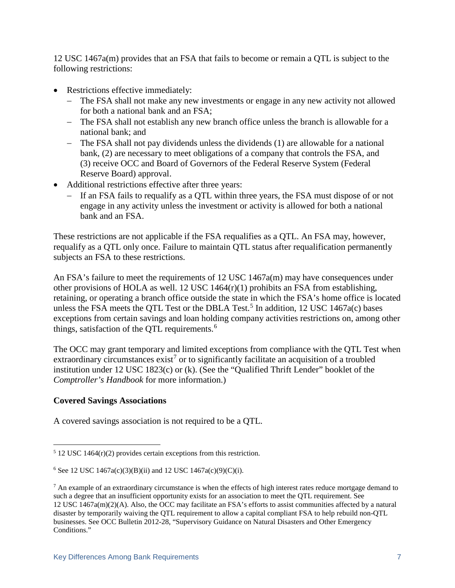12 USC 1467a(m) provides that an FSA that fails to become or remain a QTL is subject to the following restrictions:

- Restrictions effective immediately:
	- − The FSA shall not make any new investments or engage in any new activity not allowed for both a national bank and an FSA;
	- − The FSA shall not establish any new branch office unless the branch is allowable for a national bank; and
	- − The FSA shall not pay dividends unless the dividends (1) are allowable for a national bank, (2) are necessary to meet obligations of a company that controls the FSA, and (3) receive OCC and Board of Governors of the Federal Reserve System (Federal Reserve Board) approval.
- Additional restrictions effective after three years:
	- − If an FSA fails to requalify as a QTL within three years, the FSA must dispose of or not engage in any activity unless the investment or activity is allowed for both a national bank and an FSA.

These restrictions are not applicable if the FSA requalifies as a QTL. An FSA may, however, requalify as a QTL only once. Failure to maintain QTL status after requalification permanently subjects an FSA to these restrictions.

An FSA's failure to meet the requirements of 12 USC 1467a(m) may have consequences under other provisions of HOLA as well. 12 USC 1464(r)(1) prohibits an FSA from establishing, retaining, or operating a branch office outside the state in which the FSA's home office is located unless the FSA meets the QTL Test or the DBLA Test.<sup>[5](#page-8-0)</sup> In addition, 12 USC 1467a(c) bases exceptions from certain savings and loan holding company activities restrictions on, among other things, satisfaction of the QTL requirements.<sup>[6](#page-8-1)</sup>

The OCC may grant temporary and limited exceptions from compliance with the QTL Test when extraordinary circumstances exist<sup>[7](#page-8-2)</sup> or to significantly facilitate an acquisition of a troubled institution under 12 USC 1823(c) or (k). (See the "Qualified Thrift Lender" booklet of the *Comptroller's Handbook* for more information.)

#### **Covered Savings Associations**

A covered savings association is not required to be a QTL.

<span id="page-8-0"></span> <sup>5</sup> 12 USC 1464(r)(2) provides certain exceptions from this restriction.

<span id="page-8-1"></span><sup>&</sup>lt;sup>6</sup> See 12 USC 1467a(c)(3)(B)(ii) and 12 USC 1467a(c)(9)(C)(i).

<span id="page-8-2"></span> $<sup>7</sup>$  An example of an extraordinary circumstance is when the effects of high interest rates reduce mortgage demand to</sup> such a degree that an insufficient opportunity exists for an association to meet the QTL requirement. See 12 USC 1467a(m)(2)(A). Also, the OCC may facilitate an FSA's efforts to assist communities affected by a natural disaster by temporarily waiving the QTL requirement to allow a capital compliant FSA to help rebuild non-QTL businesses. See OCC Bulletin 2012-28, "Supervisory Guidance on Natural Disasters and Other Emergency Conditions."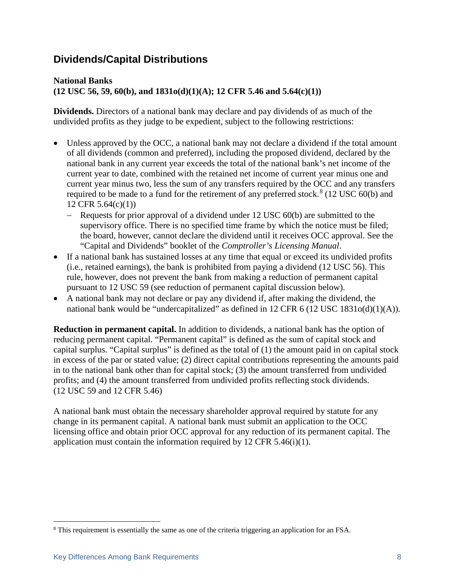### <span id="page-9-0"></span>**Dividends/Capital Distributions**

#### **National Banks (12 USC 56, 59, 60(b), and 1831o(d)(1)(A); 12 CFR 5.46 and 5.64(c)(1))**

**Dividends.** Directors of a national bank may declare and pay dividends of as much of the undivided profits as they judge to be expedient, subject to the following restrictions:

- Unless approved by the OCC, a national bank may not declare a dividend if the total amount of all dividends (common and preferred), including the proposed dividend, declared by the national bank in any current year exceeds the total of the national bank's net income of the current year to date, combined with the retained net income of current year minus one and current year minus two, less the sum of any transfers required by the OCC and any transfers required to be made to a fund for the retirement of any preferred stock.<sup>[8](#page-9-1)</sup> (12 USC 60(b) and 12 CFR 5.64(c)(1))
	- − Requests for prior approval of a dividend under 12 USC 60(b) are submitted to the supervisory office. There is no specified time frame by which the notice must be filed; the board, however, cannot declare the dividend until it receives OCC approval. See the "Capital and Dividends" booklet of the *Comptroller's Licensing Manual*.
- If a national bank has sustained losses at any time that equal or exceed its undivided profits (i.e*.,* retained earnings), the bank is prohibited from paying a dividend (12 USC 56). This rule, however, does not prevent the bank from making a reduction of permanent capital pursuant to 12 USC 59 (see reduction of permanent capital discussion below).
- A national bank may not declare or pay any dividend if, after making the dividend, the national bank would be "undercapitalized" as defined in 12 CFR 6 (12 USC 1831o(d)(1)(A)).

**Reduction in permanent capital.** In addition to dividends, a national bank has the option of reducing permanent capital. "Permanent capital" is defined as the sum of capital stock and capital surplus. "Capital surplus" is defined as the total of (1) the amount paid in on capital stock in excess of the par or stated value; (2) direct capital contributions representing the amounts paid in to the national bank other than for capital stock; (3) the amount transferred from undivided profits; and (4) the amount transferred from undivided profits reflecting stock dividends. (12 USC 59 and 12 CFR 5.46)

A national bank must obtain the necessary shareholder approval required by statute for any change in its permanent capital. A national bank must submit an application to the OCC licensing office and obtain prior OCC approval for any reduction of its permanent capital. The application must contain the information required by 12 CFR 5.46(i)(1).

<span id="page-9-1"></span> <sup>8</sup> This requirement is essentially the same as one of the criteria triggering an application for an FSA.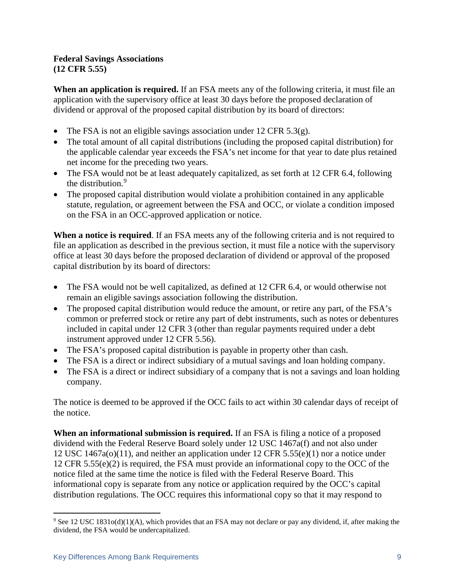#### **Federal Savings Associations (12 CFR 5.55)**

**When an application is required.** If an FSA meets any of the following criteria, it must file an application with the supervisory office at least 30 days before the proposed declaration of dividend or approval of the proposed capital distribution by its board of directors:

- The FSA is not an eligible savings association under  $12 \text{ CFR } 5.3(g)$ .
- The total amount of all capital distributions (including the proposed capital distribution) for the applicable calendar year exceeds the FSA's net income for that year to date plus retained net income for the preceding two years.
- The FSA would not be at least adequately capitalized, as set forth at 12 CFR 6.4, following the distribution.<sup>[9](#page-10-0)</sup>
- The proposed capital distribution would violate a prohibition contained in any applicable statute, regulation, or agreement between the FSA and OCC, or violate a condition imposed on the FSA in an OCC-approved application or notice.

**When a notice is required**. If an FSA meets any of the following criteria and is not required to file an application as described in the previous section, it must file a notice with the supervisory office at least 30 days before the proposed declaration of dividend or approval of the proposed capital distribution by its board of directors:

- The FSA would not be well capitalized, as defined at 12 CFR 6.4, or would otherwise not remain an eligible savings association following the distribution.
- The proposed capital distribution would reduce the amount, or retire any part, of the FSA's common or preferred stock or retire any part of debt instruments, such as notes or debentures included in capital under 12 CFR 3 (other than regular payments required under a debt instrument approved under 12 CFR 5.56).
- The FSA's proposed capital distribution is payable in property other than cash.
- The FSA is a direct or indirect subsidiary of a mutual savings and loan holding company.
- The FSA is a direct or indirect subsidiary of a company that is not a savings and loan holding company.

The notice is deemed to be approved if the OCC fails to act within 30 calendar days of receipt of the notice.

**When an informational submission is required.** If an FSA is filing a notice of a proposed dividend with the Federal Reserve Board solely under 12 USC 1467a(f) and not also under 12 USC 1467a(o)(11), and neither an application under 12 CFR 5.55(e)(1) nor a notice under 12 CFR 5.55(e)(2) is required, the FSA must provide an informational copy to the OCC of the notice filed at the same time the notice is filed with the Federal Reserve Board. This informational copy is separate from any notice or application required by the OCC's capital distribution regulations. The OCC requires this informational copy so that it may respond to

<span id="page-10-0"></span><sup>&</sup>lt;sup>9</sup> See 12 USC 1831o(d)(1)(A), which provides that an FSA may not declare or pay any dividend, if, after making the dividend, the FSA would be undercapitalized.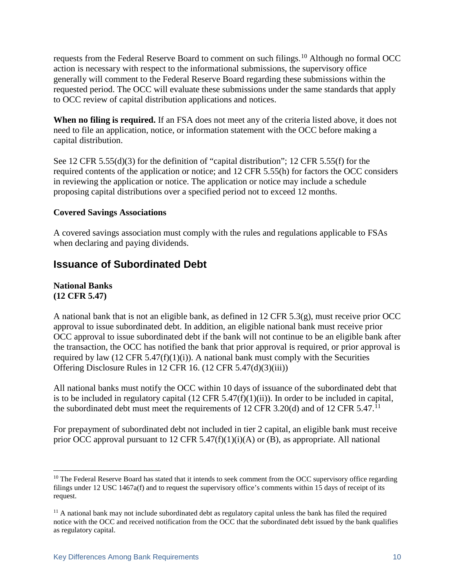requests from the Federal Reserve Board to comment on such filings.<sup>[10](#page-11-1)</sup> Although no formal OCC action is necessary with respect to the informational submissions, the supervisory office generally will comment to the Federal Reserve Board regarding these submissions within the requested period. The OCC will evaluate these submissions under the same standards that apply to OCC review of capital distribution applications and notices.

**When no filing is required.** If an FSA does not meet any of the criteria listed above, it does not need to file an application, notice, or information statement with the OCC before making a capital distribution.

See 12 CFR 5.55(d)(3) for the definition of "capital distribution"; 12 CFR 5.55(f) for the required contents of the application or notice; and 12 CFR 5.55(h) for factors the OCC considers in reviewing the application or notice. The application or notice may include a schedule proposing capital distributions over a specified period not to exceed 12 months.

#### **Covered Savings Associations**

A covered savings association must comply with the rules and regulations applicable to FSAs when declaring and paying dividends.

### <span id="page-11-0"></span>**Issuance of Subordinated Debt**

**National Banks (12 CFR 5.47)**

A national bank that is not an eligible bank, as defined in 12 CFR  $5.3(g)$ , must receive prior OCC approval to issue subordinated debt. In addition, an eligible national bank must receive prior OCC approval to issue subordinated debt if the bank will not continue to be an eligible bank after the transaction, the OCC has notified the bank that prior approval is required, or prior approval is required by law (12 CFR  $5.47(f)(1)(i)$ ). A national bank must comply with the Securities Offering Disclosure Rules in 12 CFR 16. (12 CFR 5.47(d)(3)(iii))

All national banks must notify the OCC within 10 days of issuance of the subordinated debt that is to be included in regulatory capital  $(12 \text{ CFR } 5.47(f)(1)(ii))$ . In order to be included in capital, the subordinated debt must meet the requirements of 12 CFR 3.20(d) and of 12 CFR 5.47.<sup>[11](#page-11-2)</sup>

For prepayment of subordinated debt not included in tier 2 capital, an eligible bank must receive prior OCC approval pursuant to 12 CFR 5.47(f)(1)(i)(A) or (B), as appropriate. All national

<span id="page-11-1"></span> $10$  The Federal Reserve Board has stated that it intends to seek comment from the OCC supervisory office regarding filings under 12 USC 1467a(f) and to request the supervisory office's comments within 15 days of receipt of its request.

<span id="page-11-2"></span><sup>&</sup>lt;sup>11</sup> A national bank may not include subordinated debt as regulatory capital unless the bank has filed the required notice with the OCC and received notification from the OCC that the subordinated debt issued by the bank qualifies as regulatory capital.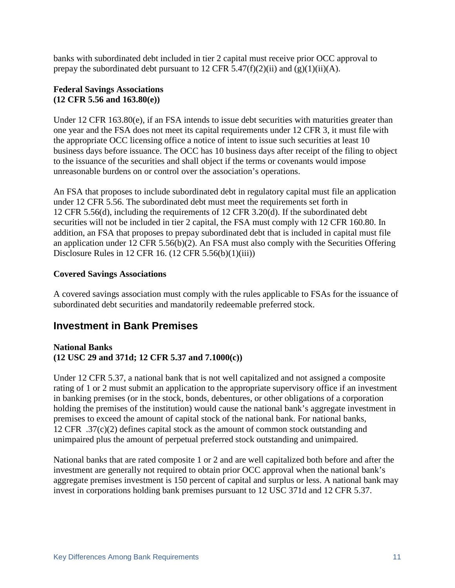banks with subordinated debt included in tier 2 capital must receive prior OCC approval to prepay the subordinated debt pursuant to 12 CFR 5.47(f)(2)(ii) and (g)(1)(ii)(A).

#### **Federal Savings Associations (12 CFR 5.56 and 163.80(e))**

Under 12 CFR 163.80(e), if an FSA intends to issue debt securities with maturities greater than one year and the FSA does not meet its capital requirements under 12 CFR 3, it must file with the appropriate OCC licensing office a notice of intent to issue such securities at least 10 business days before issuance. The OCC has 10 business days after receipt of the filing to object to the issuance of the securities and shall object if the terms or covenants would impose unreasonable burdens on or control over the association's operations.

An FSA that proposes to include subordinated debt in regulatory capital must file an application under 12 CFR 5.56. The subordinated debt must meet the requirements set forth in 12 CFR 5.56(d), including the requirements of 12 CFR 3.20(d). If the subordinated debt securities will not be included in tier 2 capital, the FSA must comply with 12 CFR 160.80. In addition, an FSA that proposes to prepay subordinated debt that is included in capital must file an application under 12 CFR 5.56(b)(2). An FSA must also comply with the Securities Offering Disclosure Rules in 12 CFR 16. (12 CFR 5.56(b)(1)(iii))

#### **Covered Savings Associations**

A covered savings association must comply with the rules applicable to FSAs for the issuance of subordinated debt securities and mandatorily redeemable preferred stock.

### <span id="page-12-0"></span>**Investment in Bank Premises**

#### **National Banks (12 USC 29 and 371d; 12 CFR 5.37 and 7.1000(c))**

Under 12 CFR 5.37, a national bank that is not well capitalized and not assigned a composite rating of 1 or 2 must submit an application to the appropriate supervisory office if an investment in banking premises (or in the stock, bonds, debentures, or other obligations of a corporation holding the premises of the institution) would cause the national bank's aggregate investment in premises to exceed the amount of capital stock of the national bank. For national banks, 12 CFR .37(c)(2) defines capital stock as the amount of common stock outstanding and unimpaired plus the amount of perpetual preferred stock outstanding and unimpaired.

National banks that are rated composite 1 or 2 and are well capitalized both before and after the investment are generally not required to obtain prior OCC approval when the national bank's aggregate premises investment is 150 percent of capital and surplus or less. A national bank may invest in corporations holding bank premises pursuant to 12 USC 371d and 12 CFR 5.37.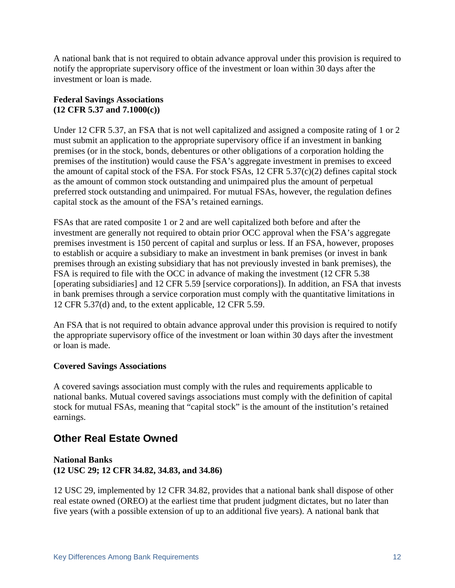A national bank that is not required to obtain advance approval under this provision is required to notify the appropriate supervisory office of the investment or loan within 30 days after the investment or loan is made.

#### **Federal Savings Associations (12 CFR 5.37 and 7.1000(c))**

Under 12 CFR 5.37, an FSA that is not well capitalized and assigned a composite rating of 1 or 2 must submit an application to the appropriate supervisory office if an investment in banking premises (or in the stock, bonds, debentures or other obligations of a corporation holding the premises of the institution) would cause the FSA's aggregate investment in premises to exceed the amount of capital stock of the FSA. For stock FSAs, 12 CFR 5.37(c)(2) defines capital stock as the amount of common stock outstanding and unimpaired plus the amount of perpetual preferred stock outstanding and unimpaired. For mutual FSAs, however, the regulation defines capital stock as the amount of the FSA's retained earnings.

FSAs that are rated composite 1 or 2 and are well capitalized both before and after the investment are generally not required to obtain prior OCC approval when the FSA's aggregate premises investment is 150 percent of capital and surplus or less. If an FSA, however, proposes to establish or acquire a subsidiary to make an investment in bank premises (or invest in bank premises through an existing subsidiary that has not previously invested in bank premises), the FSA is required to file with the OCC in advance of making the investment (12 CFR 5.38 [operating subsidiaries] and 12 CFR 5.59 [service corporations]). In addition, an FSA that invests in bank premises through a service corporation must comply with the quantitative limitations in 12 CFR 5.37(d) and, to the extent applicable, 12 CFR 5.59.

An FSA that is not required to obtain advance approval under this provision is required to notify the appropriate supervisory office of the investment or loan within 30 days after the investment or loan is made.

#### **Covered Savings Associations**

A covered savings association must comply with the rules and requirements applicable to national banks. Mutual covered savings associations must comply with the definition of capital stock for mutual FSAs, meaning that "capital stock" is the amount of the institution's retained earnings.

### <span id="page-13-0"></span>**Other Real Estate Owned**

#### **National Banks (12 USC 29; 12 CFR 34.82, 34.83, and 34.86)**

12 USC 29, implemented by 12 CFR 34.82, provides that a national bank shall dispose of other real estate owned (OREO) at the earliest time that prudent judgment dictates, but no later than five years (with a possible extension of up to an additional five years). A national bank that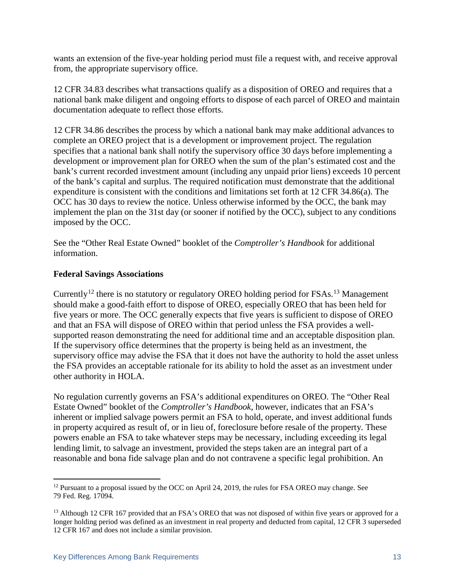wants an extension of the five-year holding period must file a request with, and receive approval from, the appropriate supervisory office.

12 CFR 34.83 describes what transactions qualify as a disposition of OREO and requires that a national bank make diligent and ongoing efforts to dispose of each parcel of OREO and maintain documentation adequate to reflect those efforts.

12 CFR 34.86 describes the process by which a national bank may make additional advances to complete an OREO project that is a development or improvement project. The regulation specifies that a national bank shall notify the supervisory office 30 days before implementing a development or improvement plan for OREO when the sum of the plan's estimated cost and the bank's current recorded investment amount (including any unpaid prior liens) exceeds 10 percent of the bank's capital and surplus. The required notification must demonstrate that the additional expenditure is consistent with the conditions and limitations set forth at 12 CFR 34.86(a). The OCC has 30 days to review the notice. Unless otherwise informed by the OCC, the bank may implement the plan on the 31st day (or sooner if notified by the OCC), subject to any conditions imposed by the OCC.

See the "Other Real Estate Owned" booklet of the *Comptroller's Handbook* for additional information.

#### **Federal Savings Associations**

Currently<sup>[12](#page-14-0)</sup> there is no statutory or regulatory OREO holding period for FSAs.<sup>[13](#page-14-1)</sup> Management should make a good-faith effort to dispose of OREO, especially OREO that has been held for five years or more. The OCC generally expects that five years is sufficient to dispose of OREO and that an FSA will dispose of OREO within that period unless the FSA provides a wellsupported reason demonstrating the need for additional time and an acceptable disposition plan. If the supervisory office determines that the property is being held as an investment, the supervisory office may advise the FSA that it does not have the authority to hold the asset unless the FSA provides an acceptable rationale for its ability to hold the asset as an investment under other authority in HOLA.

No regulation currently governs an FSA's additional expenditures on OREO. The "Other Real Estate Owned" booklet of the *Comptroller's Handbook*, however, indicates that an FSA's inherent or implied salvage powers permit an FSA to hold, operate, and invest additional funds in property acquired as result of, or in lieu of, foreclosure before resale of the property. These powers enable an FSA to take whatever steps may be necessary, including exceeding its legal lending limit, to salvage an investment, provided the steps taken are an integral part of a reasonable and bona fide salvage plan and do not contravene a specific legal prohibition. An

<span id="page-14-0"></span> $12$  Pursuant to a proposal issued by the OCC on April 24, 2019, the rules for FSA OREO may change. See 79 Fed. Reg. 17094.

<span id="page-14-1"></span><sup>&</sup>lt;sup>13</sup> Although 12 CFR 167 provided that an FSA's OREO that was not disposed of within five years or approved for a longer holding period was defined as an investment in real property and deducted from capital, 12 CFR 3 superseded 12 CFR 167 and does not include a similar provision.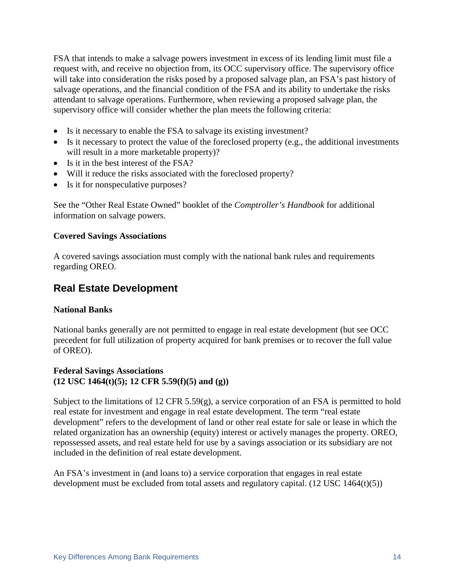FSA that intends to make a salvage powers investment in excess of its lending limit must file a request with, and receive no objection from, its OCC supervisory office. The supervisory office will take into consideration the risks posed by a proposed salvage plan, an FSA's past history of salvage operations, and the financial condition of the FSA and its ability to undertake the risks attendant to salvage operations. Furthermore, when reviewing a proposed salvage plan, the supervisory office will consider whether the plan meets the following criteria:

- Is it necessary to enable the FSA to salvage its existing investment?
- Is it necessary to protect the value of the foreclosed property (e.g., the additional investments will result in a more marketable property)?
- Is it in the best interest of the FSA?
- Will it reduce the risks associated with the foreclosed property?
- Is it for nonspeculative purposes?

See the "Other Real Estate Owned" booklet of the *Comptroller's Handbook* for additional information on salvage powers.

#### **Covered Savings Associations**

A covered savings association must comply with the national bank rules and requirements regarding OREO.

### <span id="page-15-0"></span>**Real Estate Development**

#### **National Banks**

National banks generally are not permitted to engage in real estate development (but see OCC precedent for full utilization of property acquired for bank premises or to recover the full value of OREO).

#### **Federal Savings Associations (12 USC 1464(t)(5); 12 CFR 5.59(f)(5) and (g))**

Subject to the limitations of 12 CFR 5.59(g), a service corporation of an FSA is permitted to hold real estate for investment and engage in real estate development. The term "real estate development" refers to the development of land or other real estate for sale or lease in which the related organization has an ownership (equity) interest or actively manages the property. OREO, repossessed assets, and real estate held for use by a savings association or its subsidiary are not included in the definition of real estate development.

An FSA's investment in (and loans to) a service corporation that engages in real estate development must be excluded from total assets and regulatory capital. (12 USC 1464(t)(5))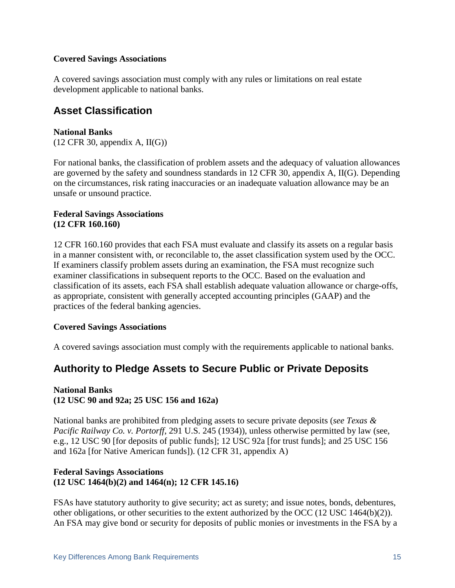#### **Covered Savings Associations**

A covered savings association must comply with any rules or limitations on real estate development applicable to national banks.

### <span id="page-16-0"></span>**Asset Classification**

#### **National Banks**

 $(12 \text{ CFR } 30, \text{ appendix A, II(G)})$ 

For national banks, the classification of problem assets and the adequacy of valuation allowances are governed by the safety and soundness standards in 12 CFR 30, appendix A, II(G). Depending on the circumstances, risk rating inaccuracies or an inadequate valuation allowance may be an unsafe or unsound practice.

#### **Federal Savings Associations (12 CFR 160.160)**

12 CFR 160.160 provides that each FSA must evaluate and classify its assets on a regular basis in a manner consistent with, or reconcilable to, the asset classification system used by the OCC. If examiners classify problem assets during an examination, the FSA must recognize such examiner classifications in subsequent reports to the OCC. Based on the evaluation and classification of its assets, each FSA shall establish adequate valuation allowance or charge-offs, as appropriate, consistent with generally accepted accounting principles (GAAP) and the practices of the federal banking agencies.

#### **Covered Savings Associations**

A covered savings association must comply with the requirements applicable to national banks.

### <span id="page-16-1"></span>**Authority to Pledge Assets to Secure Public or Private Deposits**

#### **National Banks (12 USC 90 and 92a; 25 USC 156 and 162a)**

National banks are prohibited from pledging assets to secure private deposits (*see Texas & Pacific Railway Co. v. Portorff*, 291 U.S. 245 (1934)), unless otherwise permitted by law (see, e.g., 12 USC 90 [for deposits of public funds]; 12 USC 92a [for trust funds]; and 25 USC 156 and 162a [for Native American funds]). (12 CFR 31, appendix A)

#### **Federal Savings Associations (12 USC 1464(b)(2) and 1464(n); 12 CFR 145.16)**

FSAs have statutory authority to give security; act as surety; and issue notes, bonds, debentures, other obligations, or other securities to the extent authorized by the OCC (12 USC 1464(b)(2)). An FSA may give bond or security for deposits of public monies or investments in the FSA by a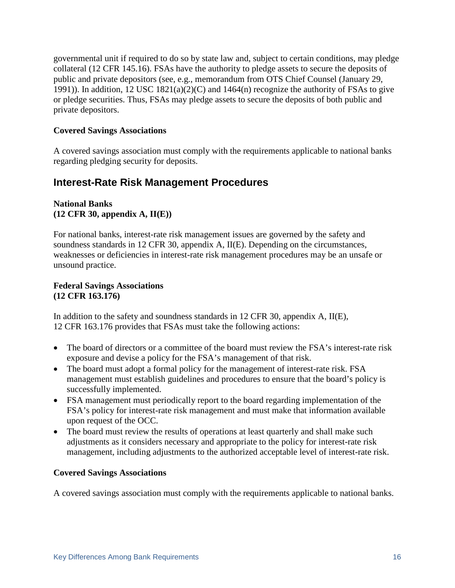governmental unit if required to do so by state law and, subject to certain conditions, may pledge collateral (12 CFR 145.16). FSAs have the authority to pledge assets to secure the deposits of public and private depositors (see, e.g., memorandum from OTS Chief Counsel (January 29, 1991)). In addition, 12 USC 1821(a)(2)(C) and 1464(n) recognize the authority of FSAs to give or pledge securities. Thus, FSAs may pledge assets to secure the deposits of both public and private depositors.

#### **Covered Savings Associations**

A covered savings association must comply with the requirements applicable to national banks regarding pledging security for deposits.

### <span id="page-17-0"></span>**Interest-Rate Risk Management Procedures**

#### **National Banks (12 CFR 30, appendix A, II(E))**

For national banks, interest-rate risk management issues are governed by the safety and soundness standards in 12 CFR 30, appendix A, II(E). Depending on the circumstances, weaknesses or deficiencies in interest-rate risk management procedures may be an unsafe or unsound practice.

#### **Federal Savings Associations (12 CFR 163.176)**

In addition to the safety and soundness standards in 12 CFR 30, appendix A, II(E), 12 CFR 163.176 provides that FSAs must take the following actions:

- The board of directors or a committee of the board must review the FSA's interest-rate risk exposure and devise a policy for the FSA's management of that risk.
- The board must adopt a formal policy for the management of interest-rate risk. FSA management must establish guidelines and procedures to ensure that the board's policy is successfully implemented.
- FSA management must periodically report to the board regarding implementation of the FSA's policy for interest-rate risk management and must make that information available upon request of the OCC.
- The board must review the results of operations at least quarterly and shall make such adjustments as it considers necessary and appropriate to the policy for interest-rate risk management, including adjustments to the authorized acceptable level of interest-rate risk.

#### **Covered Savings Associations**

A covered savings association must comply with the requirements applicable to national banks.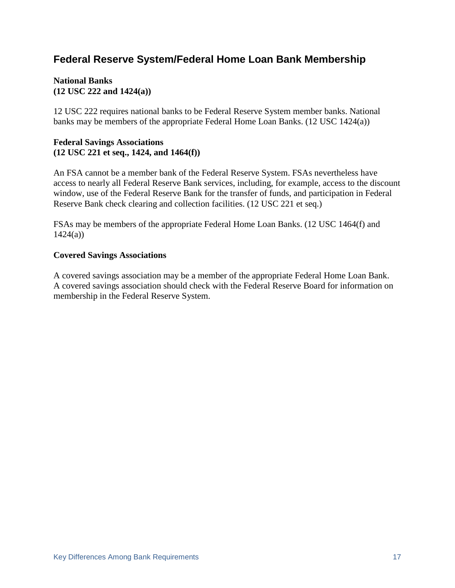### <span id="page-18-0"></span>**Federal Reserve System/Federal Home Loan Bank Membership**

#### **National Banks (12 USC 222 and 1424(a))**

12 USC 222 requires national banks to be Federal Reserve System member banks. National banks may be members of the appropriate Federal Home Loan Banks. (12 USC 1424(a))

#### **Federal Savings Associations (12 USC 221 et seq., 1424, and 1464(f))**

An FSA cannot be a member bank of the Federal Reserve System. FSAs nevertheless have access to nearly all Federal Reserve Bank services, including, for example, access to the discount window, use of the Federal Reserve Bank for the transfer of funds, and participation in Federal Reserve Bank check clearing and collection facilities. (12 USC 221 et seq.)

FSAs may be members of the appropriate Federal Home Loan Banks. (12 USC 1464(f) and  $1424(a)$ 

#### **Covered Savings Associations**

A covered savings association may be a member of the appropriate Federal Home Loan Bank. A covered savings association should check with the Federal Reserve Board for information on membership in the Federal Reserve System.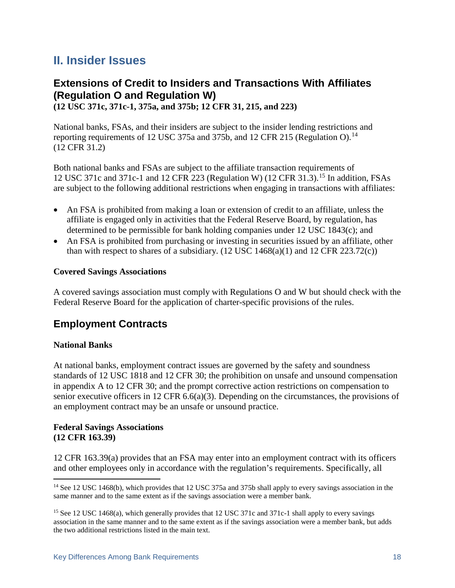## <span id="page-19-0"></span>**II. Insider Issues**

### <span id="page-19-1"></span>**Extensions of Credit to Insiders and Transactions With Affiliates (Regulation O and Regulation W) (12 USC 371c, 371c-1, 375a, and 375b; 12 CFR 31, 215, and 223)**

National banks, FSAs, and their insiders are subject to the insider lending restrictions and reporting requirements of 12 USC 375a and 375b, and 12 CFR 215 (Regulation O).<sup>[14](#page-19-3)</sup> (12 CFR 31.2)

Both national banks and FSAs are subject to the affiliate transaction requirements of 12 USC 371c and 371c-1 and 12 CFR 223 (Regulation W) (12 CFR 31.3). [15](#page-19-4) In addition, FSAs are subject to the following additional restrictions when engaging in transactions with affiliates:

- An FSA is prohibited from making a loan or extension of credit to an affiliate, unless the affiliate is engaged only in activities that the Federal Reserve Board, by regulation, has determined to be permissible for bank holding companies under 12 USC 1843(c); and
- An FSA is prohibited from purchasing or investing in securities issued by an affiliate, other than with respect to shares of a subsidiary.  $(12 \text{ USC } 1468(a)(1)$  and  $12 \text{ CFR } 223.72(c))$

#### **Covered Savings Associations**

A covered savings association must comply with Regulations O and W but should check with the Federal Reserve Board for the application of charter-specific provisions of the rules.

### <span id="page-19-2"></span>**Employment Contracts**

#### **National Banks**

At national banks, employment contract issues are governed by the safety and soundness standards of 12 USC 1818 and 12 CFR 30; the prohibition on unsafe and unsound compensation in appendix A to 12 CFR 30; and the prompt corrective action restrictions on compensation to senior executive officers in 12 CFR 6.6(a)(3). Depending on the circumstances, the provisions of an employment contract may be an unsafe or unsound practice.

#### **Federal Savings Associations (12 CFR 163.39)**

12 CFR 163.39(a) provides that an FSA may enter into an employment contract with its officers and other employees only in accordance with the regulation's requirements. Specifically, all

<span id="page-19-3"></span><sup>&</sup>lt;sup>14</sup> See 12 USC 1468(b), which provides that 12 USC 375a and 375b shall apply to every savings association in the same manner and to the same extent as if the savings association were a member bank.

<span id="page-19-4"></span><sup>&</sup>lt;sup>15</sup> See 12 USC 1468(a), which generally provides that 12 USC 371c and 371c-1 shall apply to every savings association in the same manner and to the same extent as if the savings association were a member bank, but adds the two additional restrictions listed in the main text.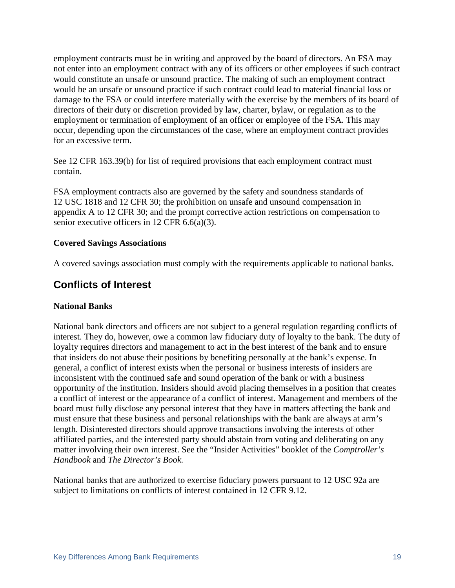employment contracts must be in writing and approved by the board of directors. An FSA may not enter into an employment contract with any of its officers or other employees if such contract would constitute an unsafe or unsound practice. The making of such an employment contract would be an unsafe or unsound practice if such contract could lead to material financial loss or damage to the FSA or could interfere materially with the exercise by the members of its board of directors of their duty or discretion provided by law, charter, bylaw, or regulation as to the employment or termination of employment of an officer or employee of the FSA. This may occur, depending upon the circumstances of the case, where an employment contract provides for an excessive term.

See 12 CFR 163.39(b) for list of required provisions that each employment contract must contain.

FSA employment contracts also are governed by the safety and soundness standards of 12 USC 1818 and 12 CFR 30; the prohibition on unsafe and unsound compensation in appendix A to 12 CFR 30; and the prompt corrective action restrictions on compensation to senior executive officers in 12 CFR 6.6(a)(3).

#### **Covered Savings Associations**

A covered savings association must comply with the requirements applicable to national banks.

### <span id="page-20-0"></span>**Conflicts of Interest**

#### **National Banks**

National bank directors and officers are not subject to a general regulation regarding conflicts of interest. They do, however, owe a common law fiduciary duty of loyalty to the bank. The duty of loyalty requires directors and management to act in the best interest of the bank and to ensure that insiders do not abuse their positions by benefiting personally at the bank's expense. In general, a conflict of interest exists when the personal or business interests of insiders are inconsistent with the continued safe and sound operation of the bank or with a business opportunity of the institution. Insiders should avoid placing themselves in a position that creates a conflict of interest or the appearance of a conflict of interest. Management and members of the board must fully disclose any personal interest that they have in matters affecting the bank and must ensure that these business and personal relationships with the bank are always at arm's length. Disinterested directors should approve transactions involving the interests of other affiliated parties, and the interested party should abstain from voting and deliberating on any matter involving their own interest. See the "Insider Activities" booklet of the *Comptroller's Handbook* and *The Director's Book.*

National banks that are authorized to exercise fiduciary powers pursuant to 12 USC 92a are subject to limitations on conflicts of interest contained in 12 CFR 9.12.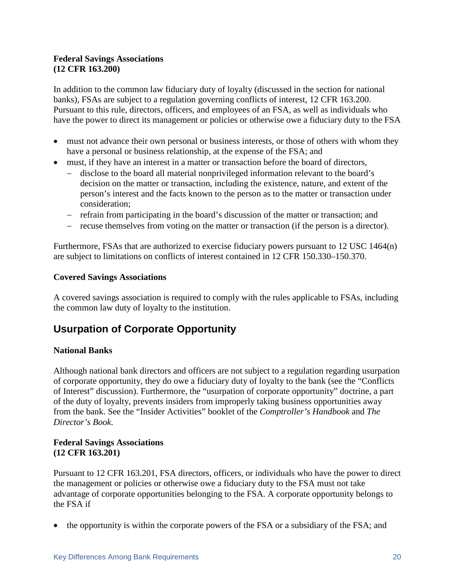#### **Federal Savings Associations (12 CFR 163.200)**

In addition to the common law fiduciary duty of loyalty (discussed in the section for national banks), FSAs are subject to a regulation governing conflicts of interest, 12 CFR 163.200. Pursuant to this rule, directors, officers, and employees of an FSA, as well as individuals who have the power to direct its management or policies or otherwise owe a fiduciary duty to the FSA

- must not advance their own personal or business interests, or those of others with whom they have a personal or business relationship, at the expense of the FSA; and
- must, if they have an interest in a matter or transaction before the board of directors,
	- − disclose to the board all material nonprivileged information relevant to the board's decision on the matter or transaction, including the existence, nature, and extent of the person's interest and the facts known to the person as to the matter or transaction under consideration;
	- − refrain from participating in the board's discussion of the matter or transaction; and
	- − recuse themselves from voting on the matter or transaction (if the person is a director).

Furthermore, FSAs that are authorized to exercise fiduciary powers pursuant to 12 USC 1464(n) are subject to limitations on conflicts of interest contained in 12 CFR 150.330–150.370.

#### **Covered Savings Associations**

A covered savings association is required to comply with the rules applicable to FSAs, including the common law duty of loyalty to the institution.

### <span id="page-21-0"></span>**Usurpation of Corporate Opportunity**

#### **National Banks**

Although national bank directors and officers are not subject to a regulation regarding usurpation of corporate opportunity, they do owe a fiduciary duty of loyalty to the bank (see the "Conflicts of Interest" discussion). Furthermore, the "usurpation of corporate opportunity" doctrine, a part of the duty of loyalty, prevents insiders from improperly taking business opportunities away from the bank. See the "Insider Activities" booklet of the *Comptroller's Handbook* and *The Director's Book*.

#### **Federal Savings Associations (12 CFR 163.201)**

Pursuant to 12 CFR 163.201, FSA directors, officers, or individuals who have the power to direct the management or policies or otherwise owe a fiduciary duty to the FSA must not take advantage of corporate opportunities belonging to the FSA. A corporate opportunity belongs to the FSA if

• the opportunity is within the corporate powers of the FSA or a subsidiary of the FSA; and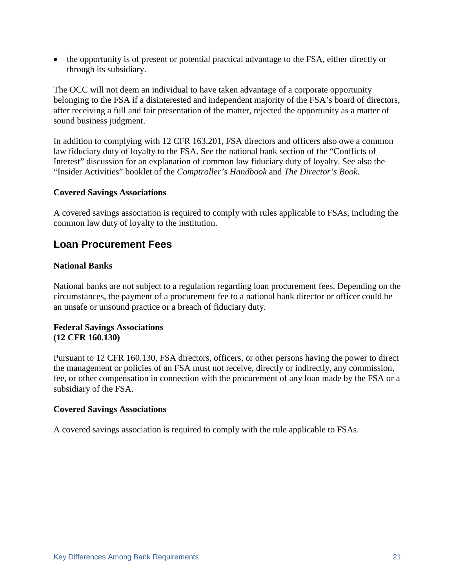• the opportunity is of present or potential practical advantage to the FSA, either directly or through its subsidiary.

The OCC will not deem an individual to have taken advantage of a corporate opportunity belonging to the FSA if a disinterested and independent majority of the FSA's board of directors, after receiving a full and fair presentation of the matter, rejected the opportunity as a matter of sound business judgment.

In addition to complying with 12 CFR 163.201, FSA directors and officers also owe a common law fiduciary duty of loyalty to the FSA. See the national bank section of the "Conflicts of Interest" discussion for an explanation of common law fiduciary duty of loyalty. See also the "Insider Activities" booklet of the *Comptroller's Handbook* and *The Director's Book*.

#### **Covered Savings Associations**

A covered savings association is required to comply with rules applicable to FSAs, including the common law duty of loyalty to the institution.

### <span id="page-22-0"></span>**Loan Procurement Fees**

#### **National Banks**

National banks are not subject to a regulation regarding loan procurement fees. Depending on the circumstances, the payment of a procurement fee to a national bank director or officer could be an unsafe or unsound practice or a breach of fiduciary duty.

#### **Federal Savings Associations (12 CFR 160.130)**

Pursuant to 12 CFR 160.130, FSA directors, officers, or other persons having the power to direct the management or policies of an FSA must not receive, directly or indirectly, any commission, fee, or other compensation in connection with the procurement of any loan made by the FSA or a subsidiary of the FSA.

#### **Covered Savings Associations**

A covered savings association is required to comply with the rule applicable to FSAs.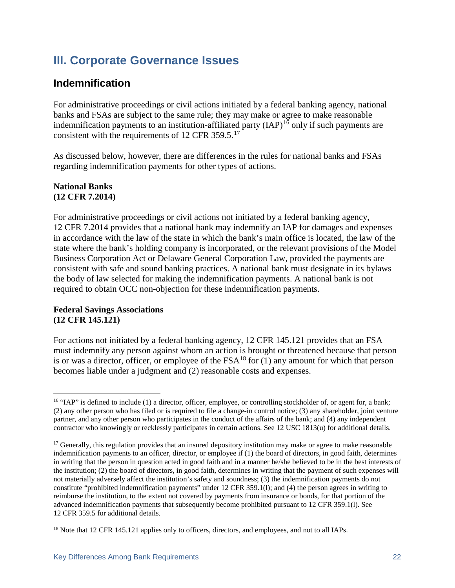## <span id="page-23-0"></span>**III. Corporate Governance Issues**

### <span id="page-23-1"></span>**Indemnification**

For administrative proceedings or civil actions initiated by a federal banking agency, national banks and FSAs are subject to the same rule; they may make or agree to make reasonable indemnification payments to an institution-affiliated party  $(IAP)^{16}$  $(IAP)^{16}$  $(IAP)^{16}$  only if such payments are consistent with the requirements of 12 CFR 359.5.<sup>[17](#page-23-3)</sup>

As discussed below, however, there are differences in the rules for national banks and FSAs regarding indemnification payments for other types of actions.

#### **National Banks (12 CFR 7.2014)**

For administrative proceedings or civil actions not initiated by a federal banking agency, 12 CFR 7.2014 provides that a national bank may indemnify an IAP for damages and expenses in accordance with the law of the state in which the bank's main office is located, the law of the state where the bank's holding company is incorporated, or the relevant provisions of the Model Business Corporation Act or Delaware General Corporation Law, provided the payments are consistent with safe and sound banking practices. A national bank must designate in its bylaws the body of law selected for making the indemnification payments. A national bank is not required to obtain OCC non-objection for these indemnification payments.

#### **Federal Savings Associations (12 CFR 145.121)**

For actions not initiated by a federal banking agency, 12 CFR 145.121 provides that an FSA must indemnify any person against whom an action is brought or threatened because that person is or was a director, officer, or employee of the  $FSA^{18}$  $FSA^{18}$  $FSA^{18}$  for (1) any amount for which that person becomes liable under a judgment and (2) reasonable costs and expenses.

<span id="page-23-2"></span><sup>&</sup>lt;sup>16</sup> "IAP" is defined to include (1) a director, officer, employee, or controlling stockholder of, or agent for, a bank; (2) any other person who has filed or is required to file a change-in control notice; (3) any shareholder, joint venture partner, and any other person who participates in the conduct of the affairs of the bank; and (4) any independent contractor who knowingly or recklessly participates in certain actions. See 12 USC 1813(u) for additional details.

<span id="page-23-3"></span> $17$  Generally, this regulation provides that an insured depository institution may make or agree to make reasonable indemnification payments to an officer, director, or employee if (1) the board of directors, in good faith, determines in writing that the person in question acted in good faith and in a manner he/she believed to be in the best interests of the institution; (2) the board of directors, in good faith, determines in writing that the payment of such expenses will not materially adversely affect the institution's safety and soundness; (3) the indemnification payments do not constitute "prohibited indemnification payments" under 12 CFR 359.1(l); and (4) the person agrees in writing to reimburse the institution, to the extent not covered by payments from insurance or bonds, for that portion of the advanced indemnification payments that subsequently become prohibited pursuant to 12 CFR 359.1(l). See 12 CFR 359.5 for additional details.

<span id="page-23-4"></span><sup>&</sup>lt;sup>18</sup> Note that 12 CFR 145.121 applies only to officers, directors, and employees, and not to all IAPs.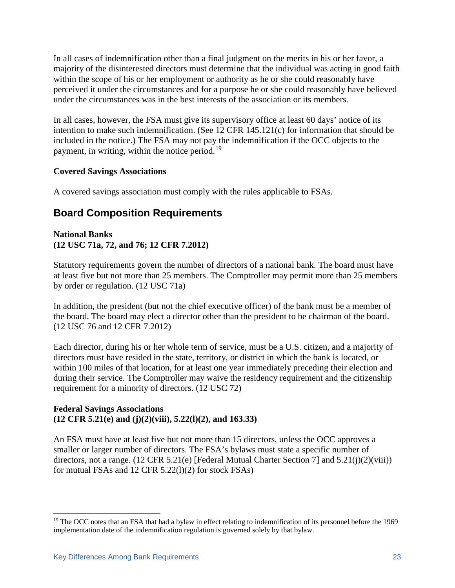In all cases of indemnification other than a final judgment on the merits in his or her favor, a majority of the disinterested directors must determine that the individual was acting in good faith within the scope of his or her employment or authority as he or she could reasonably have perceived it under the circumstances and for a purpose he or she could reasonably have believed under the circumstances was in the best interests of the association or its members.

In all cases, however, the FSA must give its supervisory office at least 60 days' notice of its intention to make such indemnification. (See 12 CFR 145.121(c) for information that should be included in the notice.) The FSA may not pay the indemnification if the OCC objects to the payment, in writing, within the notice period.<sup>[19](#page-24-1)</sup>

#### **Covered Savings Associations**

A covered savings association must comply with the rules applicable to FSAs.

### <span id="page-24-0"></span>**Board Composition Requirements**

#### **National Banks (12 USC 71a, 72, and 76; 12 CFR 7.2012)**

Statutory requirements govern the number of directors of a national bank. The board must have at least five but not more than 25 members. The Comptroller may permit more than 25 members by order or regulation. (12 USC 71a)

In addition, the president (but not the chief executive officer) of the bank must be a member of the board. The board may elect a director other than the president to be chairman of the board. (12 USC 76 and 12 CFR 7.2012)

Each director, during his or her whole term of service, must be a U.S. citizen, and a majority of directors must have resided in the state, territory, or district in which the bank is located, or within 100 miles of that location, for at least one year immediately preceding their election and during their service. The Comptroller may waive the residency requirement and the citizenship requirement for a minority of directors. (12 USC 72)

#### **Federal Savings Associations (12 CFR 5.21(e) and (j)(2)(viii), 5.22(l)(2), and 163.33)**

An FSA must have at least five but not more than 15 directors, unless the OCC approves a smaller or larger number of directors. The FSA's bylaws must state a specific number of directors, not a range. (12 CFR 5.21(e) [Federal Mutual Charter Section 7] and  $5.21(i)(2)(viii)$ for mutual FSAs and 12 CFR 5.22(l)(2) for stock FSAs)

<span id="page-24-1"></span><sup>&</sup>lt;sup>19</sup> The OCC notes that an FSA that had a bylaw in effect relating to indemnification of its personnel before the 1969 implementation date of the indemnification regulation is governed solely by that bylaw.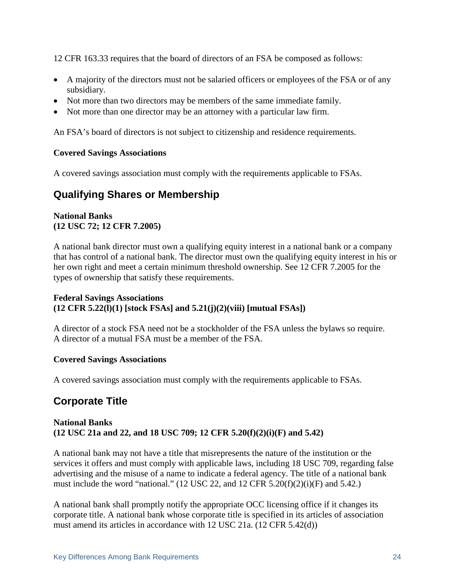12 CFR 163.33 requires that the board of directors of an FSA be composed as follows:

- A majority of the directors must not be salaried officers or employees of the FSA or of any subsidiary.
- Not more than two directors may be members of the same immediate family.
- Not more than one director may be an attorney with a particular law firm.

An FSA's board of directors is not subject to citizenship and residence requirements.

#### **Covered Savings Associations**

A covered savings association must comply with the requirements applicable to FSAs.

### <span id="page-25-0"></span>**Qualifying Shares or Membership**

#### **National Banks (12 USC 72; 12 CFR 7.2005)**

A national bank director must own a qualifying equity interest in a national bank or a company that has control of a national bank. The director must own the qualifying equity interest in his or her own right and meet a certain minimum threshold ownership. See 12 CFR 7.2005 for the types of ownership that satisfy these requirements.

#### **Federal Savings Associations (12 CFR 5.22(l)(1) [stock FSAs] and 5.21(j)(2)(viii) [mutual FSAs])**

A director of a stock FSA need not be a stockholder of the FSA unless the bylaws so require. A director of a mutual FSA must be a member of the FSA.

#### **Covered Savings Associations**

A covered savings association must comply with the requirements applicable to FSAs.

### <span id="page-25-1"></span>**Corporate Title**

#### **National Banks (12 USC 21a and 22, and 18 USC 709; 12 CFR 5.20(f)(2)(i)(F) and 5.42)**

A national bank may not have a title that misrepresents the nature of the institution or the services it offers and must comply with applicable laws, including 18 USC 709, regarding false advertising and the misuse of a name to indicate a federal agency. The title of a national bank must include the word "national." (12 USC 22, and 12 CFR  $5.20(f)(2)(i)$ (F) and  $5.42$ .)

A national bank shall promptly notify the appropriate OCC licensing office if it changes its corporate title. A national bank whose corporate title is specified in its articles of association must amend its articles in accordance with 12 USC 21a. (12 CFR 5.42(d))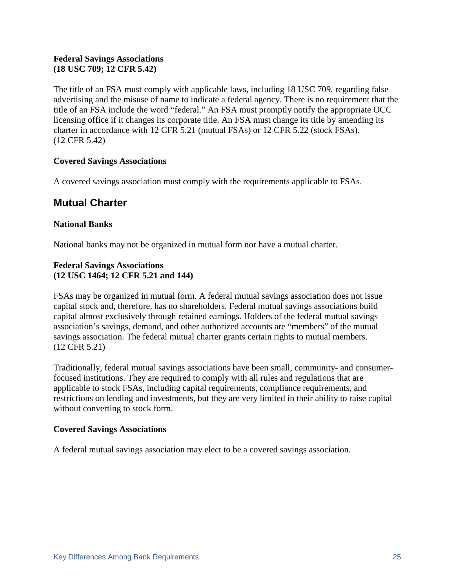#### **Federal Savings Associations (18 USC 709; 12 CFR 5.42)**

The title of an FSA must comply with applicable laws, including 18 USC 709, regarding false advertising and the misuse of name to indicate a federal agency. There is no requirement that the title of an FSA include the word "federal." An FSA must promptly notify the appropriate OCC licensing office if it changes its corporate title. An FSA must change its title by amending its charter in accordance with 12 CFR 5.21 (mutual FSAs) or 12 CFR 5.22 (stock FSAs). (12 CFR 5.42)

#### **Covered Savings Associations**

A covered savings association must comply with the requirements applicable to FSAs.

### <span id="page-26-0"></span>**Mutual Charter**

#### **National Banks**

National banks may not be organized in mutual form nor have a mutual charter.

#### **Federal Savings Associations (12 USC 1464; 12 CFR 5.21 and 144)**

FSAs may be organized in mutual form. A federal mutual savings association does not issue capital stock and, therefore, has no shareholders. Federal mutual savings associations build capital almost exclusively through retained earnings. Holders of the federal mutual savings association's savings, demand, and other authorized accounts are "members" of the mutual savings association. The federal mutual charter grants certain rights to mutual members. (12 CFR 5.21)

Traditionally, federal mutual savings associations have been small, community- and consumerfocused institutions. They are required to comply with all rules and regulations that are applicable to stock FSAs, including capital requirements, compliance requirements, and restrictions on lending and investments, but they are very limited in their ability to raise capital without converting to stock form.

#### **Covered Savings Associations**

A federal mutual savings association may elect to be a covered savings association.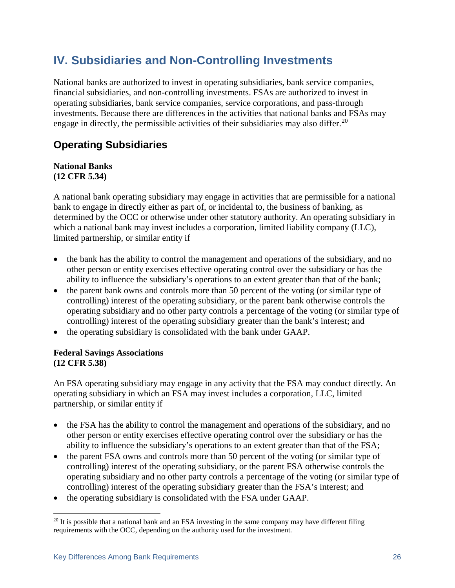## <span id="page-27-0"></span>**IV. Subsidiaries and Non-Controlling Investments**

National banks are authorized to invest in operating subsidiaries, bank service companies, financial subsidiaries, and non-controlling investments. FSAs are authorized to invest in operating subsidiaries, bank service companies, service corporations, and pass-through investments. Because there are differences in the activities that national banks and FSAs may engage in directly, the permissible activities of their subsidiaries may also differ.<sup>[20](#page-27-2)</sup>

### <span id="page-27-1"></span>**Operating Subsidiaries**

#### **National Banks (12 CFR 5.34)**

A national bank operating subsidiary may engage in activities that are permissible for a national bank to engage in directly either as part of, or incidental to, the business of banking, as determined by the OCC or otherwise under other statutory authority. An operating subsidiary in which a national bank may invest includes a corporation, limited liability company (LLC), limited partnership, or similar entity if

- the bank has the ability to control the management and operations of the subsidiary, and no other person or entity exercises effective operating control over the subsidiary or has the ability to influence the subsidiary's operations to an extent greater than that of the bank;
- the parent bank owns and controls more than 50 percent of the voting (or similar type of controlling) interest of the operating subsidiary, or the parent bank otherwise controls the operating subsidiary and no other party controls a percentage of the voting (or similar type of controlling) interest of the operating subsidiary greater than the bank's interest; and
- the operating subsidiary is consolidated with the bank under GAAP.

#### **Federal Savings Associations [\(12 CFR 5.38\)](http://ecfr.gpoaccess.gov/cgi/t/text/text-idx?c=ecfr&sid=842d49e646a60c087448840695722cf6&rgn=div5&view=text&node=12:1.0.1.1.72&idno=12)**

An FSA operating subsidiary may engage in any activity that the FSA may conduct directly. An operating subsidiary in which an FSA may invest includes a corporation, LLC, limited partnership, or similar entity if

- the FSA has the ability to control the management and operations of the subsidiary, and no other person or entity exercises effective operating control over the subsidiary or has the ability to influence the subsidiary's operations to an extent greater than that of the FSA;
- the parent FSA owns and controls more than 50 percent of the voting (or similar type of controlling) interest of the operating subsidiary, or the parent FSA otherwise controls the operating subsidiary and no other party controls a percentage of the voting (or similar type of controlling) interest of the operating subsidiary greater than the FSA's interest; and
- the operating subsidiary is consolidated with the FSA under GAAP.

<span id="page-27-2"></span> $^{20}$  It is possible that a national bank and an FSA investing in the same company may have different filing requirements with the OCC, depending on the authority used for the investment.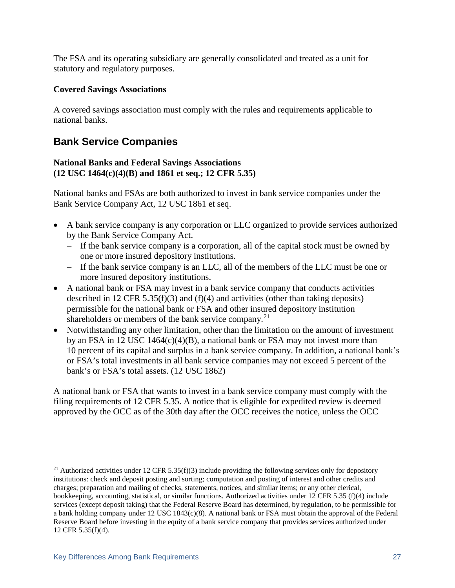The FSA and its operating subsidiary are generally consolidated and treated as a unit for statutory and regulatory purposes.

#### **Covered Savings Associations**

A covered savings association must comply with the rules and requirements applicable to national banks.

### <span id="page-28-0"></span>**Bank Service Companies**

#### **National Banks and Federal Savings Associations (12 USC 1464(c)(4)(B) and 1861 et seq.; 12 CFR 5.35)**

National banks and FSAs are both authorized to invest in bank service companies under the Bank Service Company Act, 12 USC 1861 et seq.

- A bank service company is any corporation or LLC organized to provide services authorized by the Bank Service Company Act.
	- − If the bank service company is a corporation, all of the capital stock must be owned by one or more insured depository institutions.
	- − If the bank service company is an LLC, all of the members of the LLC must be one or more insured depository institutions.
- A national bank or FSA may invest in a bank service company that conducts activities described in 12 CFR 5.35(f)(3) and (f)(4) and activities (other than taking deposits) permissible for the national bank or FSA and other insured depository institution shareholders or members of the bank service company.<sup>[21](#page-28-1)</sup>
- Notwithstanding any other limitation, other than the limitation on the amount of investment by an FSA in 12 USC 1464(c)(4)(B), a national bank or FSA may not invest more than 10 percent of its capital and surplus in a bank service company. In addition, a national bank's or FSA's total investments in all bank service companies may not exceed 5 percent of the bank's or FSA's total assets. (12 USC 1862)

A national bank or FSA that wants to invest in a bank service company must comply with the filing requirements of 12 CFR 5.35. A notice that is eligible for expedited review is deemed approved by the OCC as of the 30th day after the OCC receives the notice, unless the OCC

<span id="page-28-1"></span><sup>&</sup>lt;sup>21</sup> Authorized activities under 12 CFR 5.35(f)(3) include providing the following services only for depository institutions: check and deposit posting and sorting; computation and posting of interest and other credits and charges; preparation and mailing of checks, statements, notices, and similar items; or any other clerical, bookkeeping, accounting, statistical, or similar functions. Authorized activities under 12 CFR 5.35 (f)(4) include services (except deposit taking) that the Federal Reserve Board has determined, by regulation, to be permissible for a bank holding company under 12 USC 1843(c)(8). A national bank or FSA must obtain the approval of the Federal Reserve Board before investing in the equity of a bank service company that provides services authorized under 12 CFR 5.35(f)(4).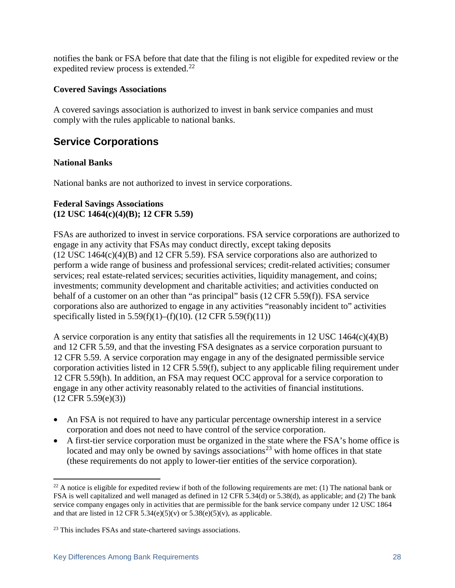notifies the bank or FSA before that date that the filing is not eligible for expedited review or the expedited review process is extended. $^{22}$  $^{22}$  $^{22}$ 

#### **Covered Savings Associations**

A covered savings association is authorized to invest in bank service companies and must comply with the rules applicable to national banks.

### <span id="page-29-0"></span>**Service Corporations**

#### **National Banks**

National banks are not authorized to invest in service corporations.

#### **Federal Savings Associations (12 USC 1464(c)(4)(B); 12 CFR 5.59)**

FSAs are authorized to invest in service corporations. FSA service corporations are authorized to engage in any activity that FSAs may conduct directly, except taking deposits  $(12 \text{ USC } 1464(c)(4)(B)$  and  $12 \text{ CFR } 5.59$ ). FSA service corporations also are authorized to perform a wide range of business and professional services; credit-related activities; consumer services; real estate-related services; securities activities, liquidity management, and coins; investments; community development and charitable activities; and activities conducted on behalf of a customer on an other than "as principal" basis (12 CFR 5.59(f)). FSA service corporations also are authorized to engage in any activities "reasonably incident to" activities specifically listed in  $5.59(f)(1)$ –(f)(10). (12 CFR  $5.59(f)(11)$ )

A service corporation is any entity that satisfies all the requirements in 12 USC 1464(c)(4)(B) and 12 CFR 5.59, and that the investing FSA designates as a service corporation pursuant to 12 CFR 5.59. A service corporation may engage in any of the designated permissible service corporation activities listed in 12 CFR 5.59(f), subject to any applicable filing requirement under 12 CFR 5.59(h). In addition, an FSA may request OCC approval for a service corporation to engage in any other activity reasonably related to the activities of financial institutions.  $(12 \text{ CFR } 5.59(e)(3))$ 

- An FSA is not required to have any particular percentage ownership interest in a service corporation and does not need to have control of the service corporation.
- A first-tier service corporation must be organized in the state where the FSA's home office is located and may only be owned by savings associations<sup>[23](#page-29-2)</sup> with home offices in that state (these requirements do not apply to lower-tier entities of the service corporation).

<span id="page-29-1"></span><sup>&</sup>lt;sup>22</sup> A notice is eligible for expedited review if both of the following requirements are met: (1) The national bank or FSA is well capitalized and well managed as defined in 12 CFR 5.34(d) or 5.38(d), as applicable; and (2) The bank service company engages only in activities that are permissible for the bank service company under 12 USC 1864 and that are listed in 12 CFR  $5.34(e)(5)(v)$  or  $5.38(e)(5)(v)$ , as applicable.

<span id="page-29-2"></span><sup>&</sup>lt;sup>23</sup> This includes FSAs and state-chartered savings associations.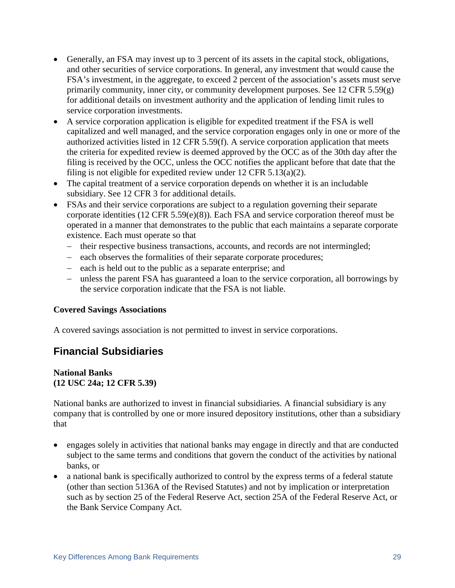- Generally, an FSA may invest up to 3 percent of its assets in the capital stock, obligations, and other securities of service corporations. In general, any investment that would cause the FSA's investment, in the aggregate, to exceed 2 percent of the association's assets must serve primarily community, inner city, or community development purposes. See 12 CFR 5.59(g) for additional details on investment authority and the application of lending limit rules to service corporation investments.
- A service corporation application is eligible for expedited treatment if the FSA is well capitalized and well managed, and the service corporation engages only in one or more of the authorized activities listed in 12 CFR 5.59(f). A service corporation application that meets the criteria for expedited review is deemed approved by the OCC as of the 30th day after the filing is received by the OCC, unless the OCC notifies the applicant before that date that the filing is not eligible for expedited review under  $12$  CFR  $5.13(a)(2)$ .
- The capital treatment of a service corporation depends on whether it is an includable subsidiary. See 12 CFR 3 for additional details.
- FSAs and their service corporations are subject to a regulation governing their separate corporate identities (12 CFR 5.59(e)(8)). Each FSA and service corporation thereof must be operated in a manner that demonstrates to the public that each maintains a separate corporate existence. Each must operate so that
	- − their respective business transactions, accounts, and records are not intermingled;
	- − each observes the formalities of their separate corporate procedures;
	- − each is held out to the public as a separate enterprise; and
	- − unless the parent FSA has guaranteed a loan to the service corporation, all borrowings by the service corporation indicate that the FSA is not liable.

#### **Covered Savings Associations**

A covered savings association is not permitted to invest in service corporations.

#### <span id="page-30-0"></span>**Financial Subsidiaries**

#### **National Banks (12 USC 24a; 12 CFR 5.39)**

National banks are authorized to invest in financial subsidiaries. A financial subsidiary is any company that is controlled by one or more insured depository institutions, other than a subsidiary that

- engages solely in activities that national banks may engage in directly and that are conducted subject to the same terms and conditions that govern the conduct of the activities by national banks, or
- a national bank is specifically authorized to control by the express terms of a federal statute (other than section 5136A of the Revised Statutes) and not by implication or interpretation such as by section 25 of the Federal Reserve Act, section 25A of the Federal Reserve Act, or the Bank Service Company Act.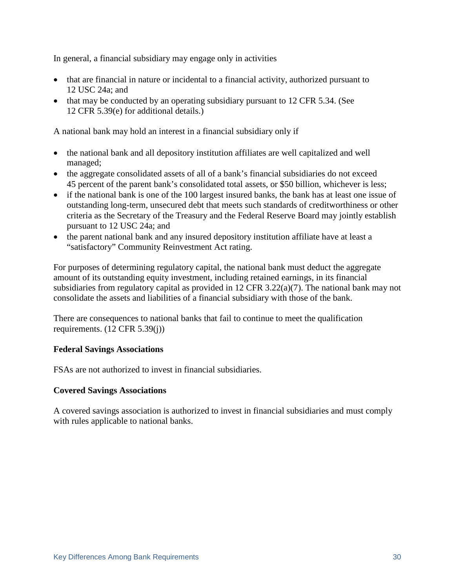In general, a financial subsidiary may engage only in activities

- that are financial in nature or incidental to a financial activity, authorized pursuant to 12 USC 24a; and
- that may be conducted by an operating subsidiary pursuant to 12 CFR 5.34. (See 12 CFR 5.39(e) for additional details.)

A national bank may hold an interest in a financial subsidiary only if

- the national bank and all depository institution affiliates are well capitalized and well managed;
- the aggregate consolidated assets of all of a bank's financial subsidiaries do not exceed 45 percent of the parent bank's consolidated total assets, or \$50 billion, whichever is less;
- if the national bank is one of the 100 largest insured banks, the bank has at least one issue of outstanding long-term, unsecured debt that meets such standards of creditworthiness or other criteria as the Secretary of the Treasury and the Federal Reserve Board may jointly establish pursuant to 12 USC 24a; and
- the parent national bank and any insured depository institution affiliate have at least a "satisfactory" Community Reinvestment Act rating.

For purposes of determining regulatory capital, the national bank must deduct the aggregate amount of its outstanding equity investment, including retained earnings, in its financial subsidiaries from regulatory capital as provided in 12 CFR 3.22(a)(7). The national bank may not consolidate the assets and liabilities of a financial subsidiary with those of the bank.

There are consequences to national banks that fail to continue to meet the qualification requirements. (12 CFR 5.39(j))

#### **Federal Savings Associations**

FSAs are not authorized to invest in financial subsidiaries.

#### **Covered Savings Associations**

A covered savings association is authorized to invest in financial subsidiaries and must comply with rules applicable to national banks.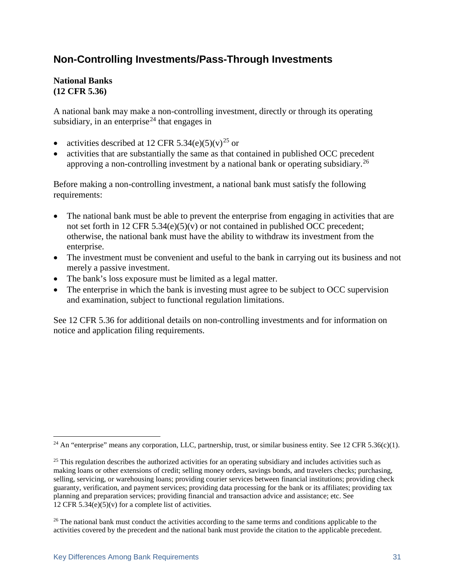### <span id="page-32-0"></span>**Non-Controlling Investments/Pass-Through Investments**

#### **National Banks (12 CFR 5.36)**

A national bank may make a non-controlling investment, directly or through its operating subsidiary, in an enterprise<sup>[24](#page-32-1)</sup> that engages in

- activities described at 12 CFR 5.34(e)(5)(v)<sup>[25](#page-32-2)</sup> or
- activities that are substantially the same as that contained in published OCC precedent approving a non-controlling investment by a national bank or operating subsidiary.<sup>[26](#page-32-3)</sup>

Before making a non-controlling investment, a national bank must satisfy the following requirements:

- The national bank must be able to prevent the enterprise from engaging in activities that are not set forth in 12 CFR 5.34(e)(5)(v) or not contained in published OCC precedent; otherwise, the national bank must have the ability to withdraw its investment from the enterprise.
- The investment must be convenient and useful to the bank in carrying out its business and not merely a passive investment.
- The bank's loss exposure must be limited as a legal matter.
- The enterprise in which the bank is investing must agree to be subject to OCC supervision and examination, subject to functional regulation limitations.

See 12 CFR 5.36 for additional details on non-controlling investments and for information on notice and application filing requirements.

<span id="page-32-1"></span><sup>&</sup>lt;sup>24</sup> An "enterprise" means any corporation, LLC, partnership, trust, or similar business entity. See 12 CFR 5.36(c)(1).

<span id="page-32-2"></span><sup>&</sup>lt;sup>25</sup> This regulation describes the authorized activities for an operating subsidiary and includes activities such as making loans or other extensions of credit; selling money orders, savings bonds, and travelers checks; purchasing, selling, servicing, or warehousing loans; providing courier services between financial institutions; providing check guaranty, verification, and payment services; providing data processing for the bank or its affiliates; providing tax planning and preparation services; providing financial and transaction advice and assistance; etc. See 12 CFR  $5.34(e)(5)(v)$  for a complete list of activities.

<span id="page-32-3"></span><sup>&</sup>lt;sup>26</sup> The national bank must conduct the activities according to the same terms and conditions applicable to the activities covered by the precedent and the national bank must provide the citation to the applicable precedent.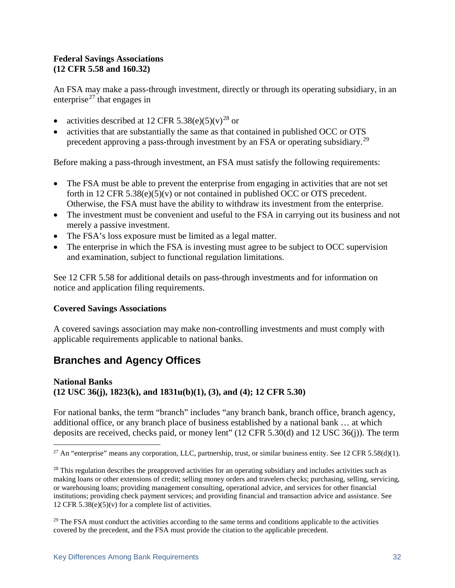#### **Federal Savings Associations (12 CFR 5.58 and 160.32)**

An FSA may make a pass-through investment, directly or through its operating subsidiary, in an enterprise<sup>[27](#page-33-1)</sup> that engages in

- activities described at 12 CFR 5.38(e)(5)(v)<sup>[28](#page-33-2)</sup> or
- activities that are substantially the same as that contained in published OCC or OTS precedent approving a pass-through investment by an FSA or operating subsidiary.<sup>[29](#page-33-3)</sup>

Before making a pass-through investment, an FSA must satisfy the following requirements:

- The FSA must be able to prevent the enterprise from engaging in activities that are not set forth in 12 CFR 5.38(e)(5)(v) or not contained in published OCC or OTS precedent. Otherwise, the FSA must have the ability to withdraw its investment from the enterprise.
- The investment must be convenient and useful to the FSA in carrying out its business and not merely a passive investment.
- The FSA's loss exposure must be limited as a legal matter.
- The enterprise in which the FSA is investing must agree to be subject to OCC supervision and examination, subject to functional regulation limitations.

See 12 CFR 5.58 for additional details on pass-through investments and for information on notice and application filing requirements.

#### **Covered Savings Associations**

A covered savings association may make non-controlling investments and must comply with applicable requirements applicable to national banks.

### <span id="page-33-0"></span>**Branches and Agency Offices**

#### **National Banks (12 USC 36(j), 1823(k), and 1831u(b)(1), (3), and (4); 12 CFR 5.30)**

For national banks, the term "branch" includes "any branch bank, branch office, branch agency, additional office, or any branch place of business established by a national bank … at which deposits are received, checks paid, or money lent" (12 CFR 5.30(d) and 12 USC 36(j)). The term

<span id="page-33-1"></span> $27$  An "enterprise" means any corporation, LLC, partnership, trust, or similar business entity. See 12 CFR 5.58(d)(1).

<span id="page-33-2"></span> $28$  This regulation describes the preapproved activities for an operating subsidiary and includes activities such as making loans or other extensions of credit; selling money orders and travelers checks; purchasing, selling, servicing, or warehousing loans; providing management consulting, operational advice, and services for other financial institutions; providing check payment services; and providing financial and transaction advice and assistance. See 12 CFR  $5.38(e)(5)(v)$  for a complete list of activities.

<span id="page-33-3"></span> $29$  The FSA must conduct the activities according to the same terms and conditions applicable to the activities covered by the precedent, and the FSA must provide the citation to the applicable precedent.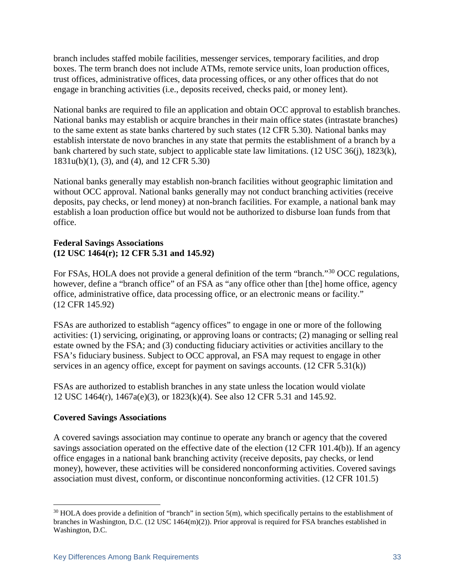branch includes staffed mobile facilities, messenger services, temporary facilities, and drop boxes. The term branch does not include ATMs, remote service units, loan production offices, trust offices, administrative offices, data processing offices, or any other offices that do not engage in branching activities (i.e., deposits received, checks paid, or money lent).

National banks are required to file an application and obtain OCC approval to establish branches. National banks may establish or acquire branches in their main office states (intrastate branches) to the same extent as state banks chartered by such states (12 CFR 5.30). National banks may establish interstate de novo branches in any state that permits the establishment of a branch by a bank chartered by such state, subject to applicable state law limitations. (12 USC 36(j), 1823(k), 1831u(b)(1), (3), and (4), and 12 CFR 5.30)

National banks generally may establish non-branch facilities without geographic limitation and without OCC approval. National banks generally may not conduct branching activities (receive deposits, pay checks, or lend money) at non-branch facilities. For example, a national bank may establish a loan production office but would not be authorized to disburse loan funds from that office.

#### **Federal Savings Associations (12 USC 1464(r); 12 CFR 5.31 and 145.92)**

For FSAs, HOLA does not provide a general definition of the term "branch."<sup>[30](#page-34-0)</sup> OCC regulations, however, define a "branch office" of an FSA as "any office other than [the] home office, agency office, administrative office, data processing office, or an electronic means or facility." (12 CFR 145.92)

FSAs are authorized to establish "agency offices" to engage in one or more of the following activities: (1) servicing, originating, or approving loans or contracts; (2) managing or selling real estate owned by the FSA; and (3) conducting fiduciary activities or activities ancillary to the FSA's fiduciary business. Subject to OCC approval, an FSA may request to engage in other services in an agency office, except for payment on savings accounts. (12 CFR 5.31(k))

FSAs are authorized to establish branches in any state unless the location would violate 12 USC 1464(r), 1467a(e)(3), or 1823(k)(4). See also 12 CFR 5.31 and 145.92.

#### **Covered Savings Associations**

A covered savings association may continue to operate any branch or agency that the covered savings association operated on the effective date of the election (12 CFR 101.4(b)). If an agency office engages in a national bank branching activity (receive deposits, pay checks, or lend money), however, these activities will be considered nonconforming activities. Covered savings association must divest, conform, or discontinue nonconforming activities. (12 CFR 101.5)

<span id="page-34-0"></span> $30$  HOLA does provide a definition of "branch" in section 5(m), which specifically pertains to the establishment of branches in Washington, D.C. (12 USC 1464(m)(2)). Prior approval is required for FSA branches established in Washington, D.C.